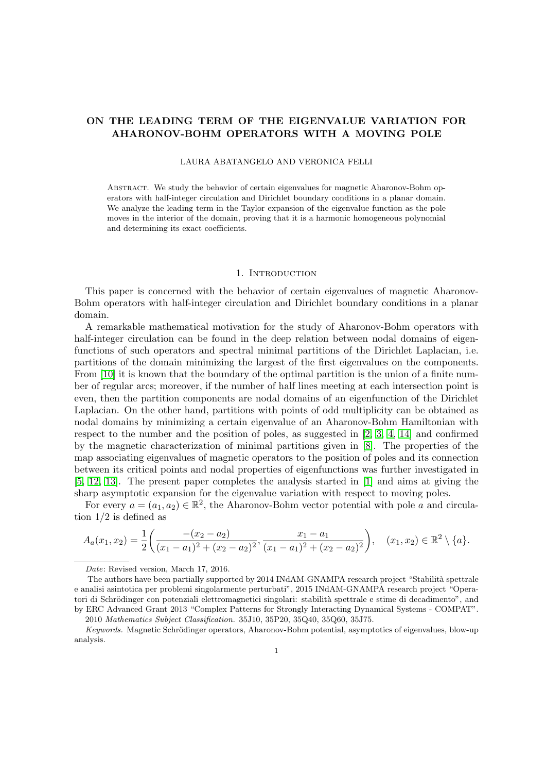# ON THE LEADING TERM OF THE EIGENVALUE VARIATION FOR AHARONOV-BOHM OPERATORS WITH A MOVING POLE

LAURA ABATANGELO AND VERONICA FELLI

Abstract. We study the behavior of certain eigenvalues for magnetic Aharonov-Bohm operators with half-integer circulation and Dirichlet boundary conditions in a planar domain. We analyze the leading term in the Taylor expansion of the eigenvalue function as the pole moves in the interior of the domain, proving that it is a harmonic homogeneous polynomial and determining its exact coefficients.

### 1. INTRODUCTION

This paper is concerned with the behavior of certain eigenvalues of magnetic Aharonov-Bohm operators with half-integer circulation and Dirichlet boundary conditions in a planar domain.

A remarkable mathematical motivation for the study of Aharonov-Bohm operators with half-integer circulation can be found in the deep relation between nodal domains of eigenfunctions of such operators and spectral minimal partitions of the Dirichlet Laplacian, i.e. partitions of the domain minimizing the largest of the first eigenvalues on the components. From [\[10\]](#page-23-0) it is known that the boundary of the optimal partition is the union of a finite number of regular arcs; moreover, if the number of half lines meeting at each intersection point is even, then the partition components are nodal domains of an eigenfunction of the Dirichlet Laplacian. On the other hand, partitions with points of odd multiplicity can be obtained as nodal domains by minimizing a certain eigenvalue of an Aharonov-Bohm Hamiltonian with respect to the number and the position of poles, as suggested in [\[2,](#page-23-1) [3,](#page-23-2) [4,](#page-23-3) [14\]](#page-23-4) and confirmed by the magnetic characterization of minimal partitions given in [\[8\]](#page-23-5). The properties of the map associating eigenvalues of magnetic operators to the position of poles and its connection between its critical points and nodal properties of eigenfunctions was further investigated in [\[5,](#page-23-6) [12,](#page-23-7) [13\]](#page-23-8). The present paper completes the analysis started in [\[1\]](#page-23-9) and aims at giving the sharp asymptotic expansion for the eigenvalue variation with respect to moving poles.

For every  $a = (a_1, a_2) \in \mathbb{R}^2$ , the Aharonov-Bohm vector potential with pole a and circulation  $1/2$  is defined as

$$
A_a(x_1, x_2) = \frac{1}{2} \left( \frac{-(x_2 - a_2)}{(x_1 - a_1)^2 + (x_2 - a_2)^2}, \frac{x_1 - a_1}{(x_1 - a_1)^2 + (x_2 - a_2)^2} \right), \quad (x_1, x_2) \in \mathbb{R}^2 \setminus \{a\}.
$$

Date: Revised version, March 17, 2016.

The authors have been partially supported by 2014 INdAM-GNAMPA research project "Stabilità spettrale" e analisi asintotica per problemi singolarmente perturbati", 2015 INdAM-GNAMPA research project "Operatori di Schrödinger con potenziali elettromagnetici singolari: stabilità spettrale e stime di decadimento", and by ERC Advanced Grant 2013 "Complex Patterns for Strongly Interacting Dynamical Systems - COMPAT".

<sup>2010</sup> Mathematics Subject Classification. 35J10, 35P20, 35Q40, 35Q60, 35J75.

Keywords. Magnetic Schrödinger operators, Aharonov-Bohm potential, asymptotics of eigenvalues, blow-up analysis.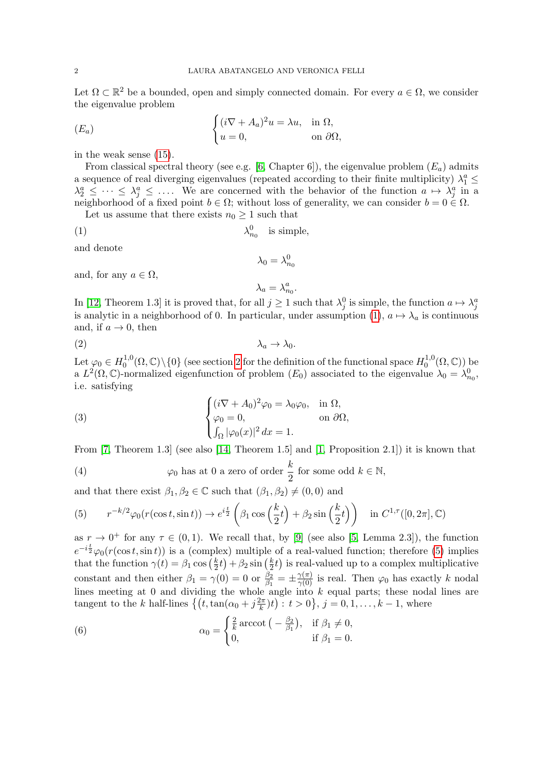Let  $\Omega \subset \mathbb{R}^2$  be a bounded, open and simply connected domain. For every  $a \in \Omega$ , we consider the eigenvalue problem

<span id="page-1-6"></span><span id="page-1-0"></span>
$$
(E_a) \qquad \qquad \begin{cases} (i\nabla + A_a)^2 u = \lambda u, & \text{in } \Omega, \\ u = 0, & \text{on } \partial\Omega, \end{cases}
$$

in the weak sense [\(15\)](#page-4-0).

From classical spectral theory (see e.g. [\[6,](#page-23-10) Chapter 6]), the eigenvalue problem  $(E_a)$  admits a sequence of real diverging eigenvalues (repeated according to their finite multiplicity)  $\lambda_1^a \leq$  $\lambda_2^a \leq \cdots \leq \lambda_j^a \leq \ldots$ . We are concerned with the behavior of the function  $a \mapsto \lambda_j^a$  in a neighborhood of a fixed point  $b \in \Omega$ ; without loss of generality, we can consider  $b = 0 \in \Omega$ .

Let us assume that there exists  $n_0 \geq 1$  such that

$$
\lambda_{n_0}^0 \quad \text{is simple},
$$

and denote

$$
\lambda_0=\lambda_{n_0}^0
$$

and, for any  $a \in \Omega$ ,

<span id="page-1-2"></span>
$$
\lambda_a = \lambda_{n_0}^a.
$$

In [\[12,](#page-23-7) Theorem 1.3] it is proved that, for all  $j \ge 1$  such that  $\lambda_j^0$  is simple, the function  $a \mapsto \lambda_j^a$ is analytic in a neighborhood of 0. In particular, under assumption [\(1\)](#page-1-0),  $a \mapsto \lambda_a$  is continuous and, if  $a \to 0$ , then

$$
\lambda_a \to \lambda_0.
$$

Let  $\varphi_0\in H_0^{1,0}$  $\{0,0\}^{1,0}(\Omega,\mathbb{C})\backslash\{0\}$  (see section [2](#page-4-1) for the definition of the functional space  $H^{1,0}_0$  $\mathcal{O}_0^{1,0}(\Omega,\mathbb{C}))$  be a  $L^2(\Omega,\mathbb{C})$ -normalized eigenfunction of problem  $(E_0)$  associated to the eigenvalue  $\lambda_0 = \lambda_{n_0}^0$ , i.e. satisfying

<span id="page-1-3"></span>(3) 
$$
\begin{cases} (i\nabla + A_0)^2 \varphi_0 = \lambda_0 \varphi_0, & \text{in } \Omega, \\ \varphi_0 = 0, & \text{on } \partial \Omega, \\ \int_{\Omega} |\varphi_0(x)|^2 dx = 1. \end{cases}
$$

From  $[7,$  Theorem 1.3] (see also  $[14,$  Theorem 1.5] and  $[1,$  Proposition 2.1]) it is known that

<span id="page-1-4"></span>(4) 
$$
\varphi_0
$$
 has at 0 a zero of order  $\frac{k}{2}$  for some odd  $k \in \mathbb{N}$ ,

and that there exist  $\beta_1, \beta_2 \in \mathbb{C}$  such that  $(\beta_1, \beta_2) \neq (0, 0)$  and

<span id="page-1-1"></span>(5) 
$$
r^{-k/2}\varphi_0(r(\cos t, \sin t)) \to e^{i\frac{t}{2}}\left(\beta_1 \cos\left(\frac{k}{2}t\right) + \beta_2 \sin\left(\frac{k}{2}t\right)\right) \text{ in } C^{1, \tau}([0, 2\pi], \mathbb{C})
$$

as  $r \to 0^+$  for any  $\tau \in (0,1)$ . We recall that, by [\[9\]](#page-23-12) (see also [\[5,](#page-23-6) Lemma 2.3]), the function  $e^{-i\frac{t}{2}}\varphi_0(r(\cos t, \sin t))$  is a (complex) multiple of a real-valued function; therefore [\(5\)](#page-1-1) implies that the function  $\gamma(t) = \beta_1 \cos\left(\frac{k}{2}\right)$  $(\frac{k}{2}t) + \beta_2 \sin(\frac{k}{2})$  $\frac{k}{2}t$  is real-valued up to a complex multiplicative constant and then either  $\beta_1 = \gamma(0) = 0$  or  $\frac{\beta_2}{\beta_1} = \pm \frac{\gamma(\pi)}{\gamma(0)}$  is real. Then  $\varphi_0$  has exactly k nodal lines meeting at  $0$  and dividing the whole angle into  $k$  equal parts; these nodal lines are tangent to the k half-lines  $\left\{ \left( t, \tan(\alpha_0 + j\frac{2\pi}{k}) \right)$  $(\frac{2\pi}{k})t$  :  $t > 0$ ,  $j = 0, 1, ..., k - 1$ , where

<span id="page-1-5"></span>(6) 
$$
\alpha_0 = \begin{cases} \frac{2}{k} \arccot \left( -\frac{\beta_2}{\beta_1} \right), & \text{if } \beta_1 \neq 0, \\ 0, & \text{if } \beta_1 = 0. \end{cases}
$$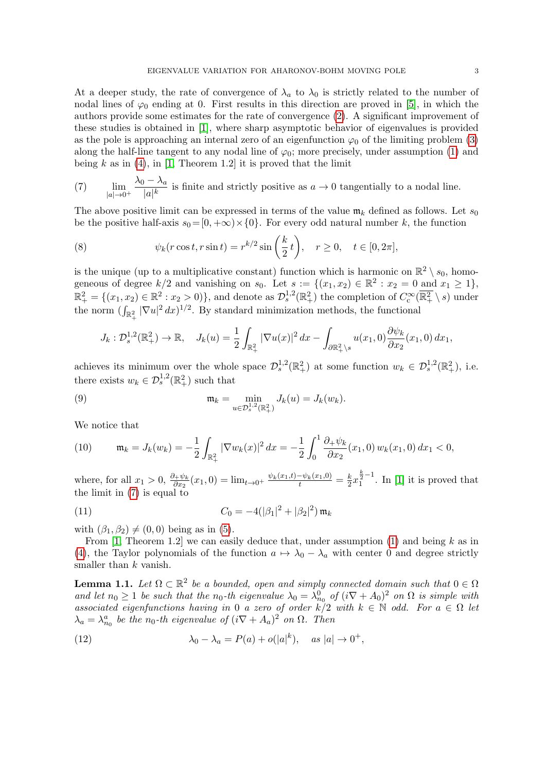At a deeper study, the rate of convergence of  $\lambda_a$  to  $\lambda_0$  is strictly related to the number of nodal lines of  $\varphi_0$  ending at 0. First results in this direction are proved in [\[5\]](#page-23-6), in which the authors provide some estimates for the rate of convergence [\(2\)](#page-1-2). A significant improvement of these studies is obtained in [\[1\]](#page-23-9), where sharp asymptotic behavior of eigenvalues is provided as the pole is approaching an internal zero of an eigenfunction  $\varphi_0$  of the limiting problem [\(3\)](#page-1-3) along the half-line tangent to any nodal line of  $\varphi_0$ ; more precisely, under assumption [\(1\)](#page-1-0) and being  $k$  as in [\(4\)](#page-1-4), in [\[1,](#page-23-9) Theorem 1.2] it is proved that the limit

<span id="page-2-0"></span>(7) 
$$
\lim_{|a| \to 0^+} \frac{\lambda_0 - \lambda_a}{|a|^k}
$$
 is finite and strictly positive as  $a \to 0$  tangentially to a nodal line.

The above positive limit can be expressed in terms of the value  $\mathfrak{m}_k$  defined as follows. Let  $s_0$ be the positive half-axis  $s_0 = [0, +\infty) \times \{0\}$ . For every odd natural number k, the function

<span id="page-2-4"></span>(8) 
$$
\psi_k(r\cos t, r\sin t) = r^{k/2}\sin\left(\frac{k}{2}t\right), \quad r \ge 0, \quad t \in [0, 2\pi],
$$

is the unique (up to a multiplicative constant) function which is harmonic on  $\mathbb{R}^2 \setminus s_0$ , homogeneous of degree  $k/2$  and vanishing on  $s_0$ . Let  $s := \{(x_1, x_2) \in \mathbb{R}^2 : x_2 = 0 \text{ and } x_1 \geq 1\}$ ,  $\mathbb{R}^2_+ = \{(x_1, x_2) \in \mathbb{R}^2 : x_2 > 0\}$ , and denote as  $\mathcal{D}_s^{1,2}(\mathbb{R}^2_+)$  the completion of  $C_c^{\infty}(\overline{\mathbb{R}^2_+} \setminus s)$  under the norm  $(\int_{\mathbb{R}^2_+} |\nabla u|^2 dx)^{1/2}$ . By standard minimization methods, the functional

<span id="page-2-5"></span>
$$
J_k: \mathcal{D}_s^{1,2}(\mathbb{R}^2_+) \to \mathbb{R}, \quad J_k(u) = \frac{1}{2} \int_{\mathbb{R}^2_+} |\nabla u(x)|^2 \, dx - \int_{\partial \mathbb{R}^2_+ \backslash s} u(x_1,0) \frac{\partial \psi_k}{\partial x_2}(x_1,0) \, dx_1,
$$

achieves its minimum over the whole space  $\mathcal{D}_s^{1,2}(\mathbb{R}^2_+)$  at some function  $w_k \in \mathcal{D}_s^{1,2}(\mathbb{R}^2_+)$ , i.e. there exists  $w_k \in \mathcal{D}_s^{1,2}(\mathbb{R}_+^2)$  such that

(9) 
$$
\mathfrak{m}_k = \min_{u \in \mathcal{D}_s^{1,2}(\mathbb{R}_+^2)} J_k(u) = J_k(w_k).
$$

We notice that

<span id="page-2-6"></span>(10) 
$$
\mathfrak{m}_k = J_k(w_k) = -\frac{1}{2} \int_{\mathbb{R}_+^2} |\nabla w_k(x)|^2 dx = -\frac{1}{2} \int_0^1 \frac{\partial_+ \psi_k}{\partial x_2}(x_1,0) w_k(x_1,0) dx_1 < 0,
$$

where, for all  $x_1 > 0$ ,  $\frac{\partial + \psi_k}{\partial x_2}(x_1, 0) = \lim_{t \to 0^+} \frac{\psi_k(x_1, t) - \psi_k(x_1, 0)}{t} = \frac{k}{2}$  $\frac{k}{2}x_1^{\frac{k}{2}-1}$ . In [\[1\]](#page-23-9) it is proved that the limit in [\(7\)](#page-2-0) is equal to

<span id="page-2-2"></span>(11) 
$$
C_0 = -4(|\beta_1|^2 + |\beta_2|^2) \mathfrak{m}_k
$$

with  $(\beta_1, \beta_2) \neq (0, 0)$  being as in [\(5\)](#page-1-1).

From [\[1,](#page-23-9) Theorem 1.2] we can easily deduce that, under assumption [\(1\)](#page-1-0) and being  $k$  as in [\(4\)](#page-1-4), the Taylor polynomials of the function  $a \mapsto \lambda_0 - \lambda_a$  with center 0 and degree strictly smaller than  $k$  vanish.

<span id="page-2-1"></span>**Lemma 1.1.** Let  $\Omega \subset \mathbb{R}^2$  be a bounded, open and simply connected domain such that  $0 \in \Omega$ and let  $n_0 \geq 1$  be such that the  $n_0$ -th eigenvalue  $\lambda_0 = \lambda_{n_0}^0$  of  $(i\nabla + A_0)^2$  on  $\Omega$  is simple with associated eigenfunctions having in 0 a zero of order  $k/2$  with  $k \in \mathbb{N}$  odd. For  $a \in \Omega$  let  $\lambda_a = \lambda_{n_0}^a$  be the  $n_0$ -th eigenvalue of  $(i\nabla + A_a)^2$  on  $\Omega$ . Then

<span id="page-2-3"></span>(12) 
$$
\lambda_0 - \lambda_a = P(a) + o(|a|^k), \quad \text{as } |a| \to 0^+,
$$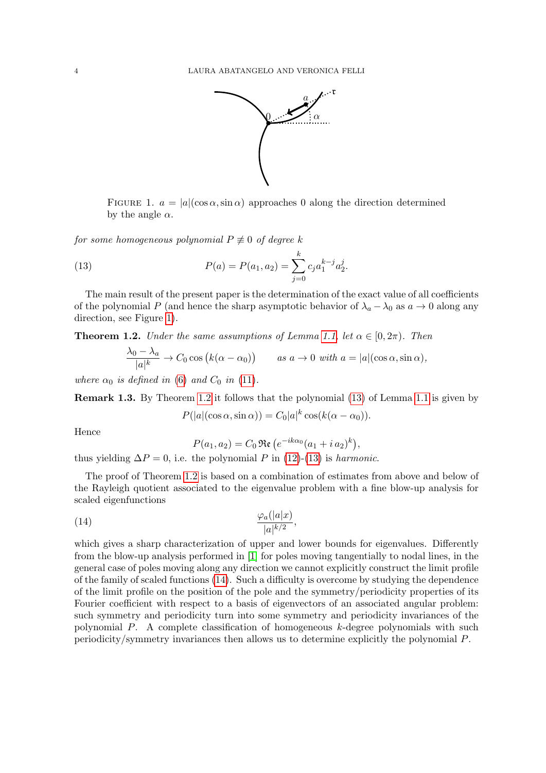

<span id="page-3-2"></span><span id="page-3-0"></span>FIGURE 1.  $a = |a|(\cos \alpha, \sin \alpha)$  approaches 0 along the direction determined by the angle  $\alpha$ .

for some homogeneous polynomial  $P \not\equiv 0$  of degree k

(13) 
$$
P(a) = P(a_1, a_2) = \sum_{j=0}^{k} c_j a_1^{k-j} a_2^j.
$$

The main result of the present paper is the determination of the exact value of all coefficients of the polynomial P (and hence the sharp asymptotic behavior of  $\lambda_a - \lambda_0$  as  $a \to 0$  along any direction, see Figure [1\)](#page-3-0).

<span id="page-3-1"></span>**Theorem 1.2.** Under the same assumptions of Lemma [1.1,](#page-2-1) let  $\alpha \in [0, 2\pi)$ . Then

$$
\frac{\lambda_0 - \lambda_a}{|a|^k} \to C_0 \cos (k(\alpha - \alpha_0)) \quad as \ a \to 0 \ with \ a = |a|(\cos \alpha, \sin \alpha),
$$

where  $\alpha_0$  is defined in [\(6\)](#page-1-5) and  $C_0$  in [\(11\)](#page-2-2).

Remark 1.3. By Theorem [1.2](#page-3-1) it follows that the polynomial [\(13\)](#page-3-2) of Lemma [1.1](#page-2-1) is given by

 $P(|a|(\cos\alpha,\sin\alpha)) = C_0|a|^k\cos(k(\alpha-\alpha_0)).$ 

Hence

<span id="page-3-3"></span>
$$
P(a_1, a_2) = C_0 \, \Re\, e^{-ik\alpha_0} (a_1 + i a_2)^k),
$$

thus yielding  $\Delta P = 0$ , i.e. the polynomial P in [\(12\)](#page-2-3)-[\(13\)](#page-3-2) is harmonic.

The proof of Theorem [1.2](#page-3-1) is based on a combination of estimates from above and below of the Rayleigh quotient associated to the eigenvalue problem with a fine blow-up analysis for scaled eigenfunctions

(14) 
$$
\frac{\varphi_a(|a|x)}{|a|^{k/2}},
$$

which gives a sharp characterization of upper and lower bounds for eigenvalues. Differently from the blow-up analysis performed in [\[1\]](#page-23-9) for poles moving tangentially to nodal lines, in the general case of poles moving along any direction we cannot explicitly construct the limit profile of the family of scaled functions [\(14\)](#page-3-3). Such a difficulty is overcome by studying the dependence of the limit profile on the position of the pole and the symmetry/periodicity properties of its Fourier coefficient with respect to a basis of eigenvectors of an associated angular problem: such symmetry and periodicity turn into some symmetry and periodicity invariances of the polynomial  $P$ . A complete classification of homogeneous  $k$ -degree polynomials with such periodicity/symmetry invariances then allows us to determine explicitly the polynomial P.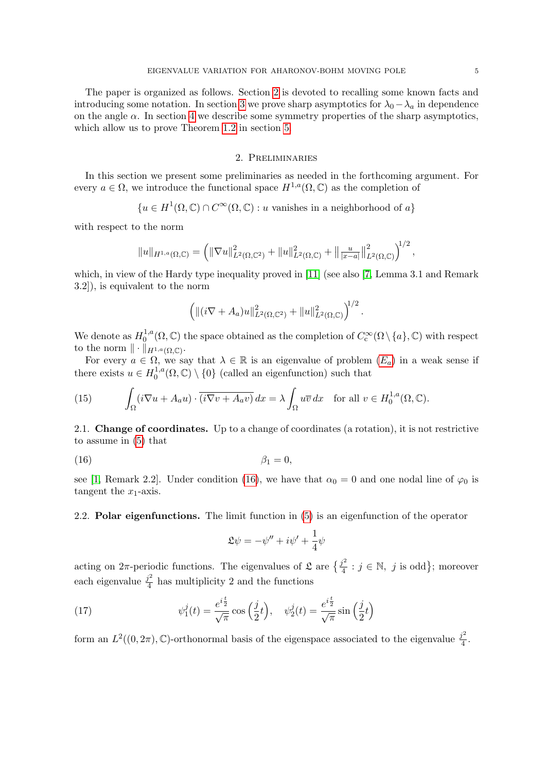The paper is organized as follows. Section [2](#page-4-1) is devoted to recalling some known facts and introducing some notation. In section [3](#page-7-0) we prove sharp asymptotics for  $\lambda_0-\lambda_a$  in dependence on the angle  $\alpha$ . In section [4](#page-16-0) we describe some symmetry properties of the sharp asymptotics, which allow us to prove Theorem [1.2](#page-3-1) in section [5.](#page-20-0)

## 2. Preliminaries

<span id="page-4-1"></span>In this section we present some preliminaries as needed in the forthcoming argument. For every  $a \in \Omega$ , we introduce the functional space  $H^{1,a}(\Omega,\mathbb{C})$  as the completion of

$$
{u \in H^1(\Omega, \mathbb{C}) \cap C^{\infty}(\Omega, \mathbb{C}) : u \text{ vanishes in a neighborhood of } a}
$$

with respect to the norm

$$
||u||_{H^{1,a}(\Omega,\mathbb{C})} = \left(||\nabla u||^2_{L^2(\Omega,\mathbb{C}^2)} + ||u||^2_{L^2(\Omega,\mathbb{C})} + ||\frac{u}{|x-a|}||^2_{L^2(\Omega,\mathbb{C})}\right)^{\!\!1/2},
$$

which, in view of the Hardy type inequality proved in [\[11\]](#page-23-13) (see also [\[7,](#page-23-11) Lemma 3.1 and Remark 3.2]), is equivalent to the norm

$$
\left( \|(i\nabla + A_a)u\|_{L^2(\Omega,\mathbb{C}^2)}^2 + \|u\|_{L^2(\Omega,\mathbb{C})}^2 \right)^{1/2}.
$$

We denote as  $H_0^{1,a}$  $C_0^{1,a}(\Omega,\mathbb{C})$  the space obtained as the completion of  $C_c^{\infty}(\Omega \setminus \{a\}, \mathbb{C})$  with respect to the norm  $\|\cdot\|_{H^{1,a}(\Omega,\mathbb{C})}$ .

For every  $a \in \Omega$ , we say that  $\lambda \in \mathbb{R}$  is an eigenvalue of problem  $(E_a)$  $(E_a)$  $(E_a)$  in a weak sense if there exists  $u \in H_0^{1,a}$  $\mathcal{O}_0^{1,a}(\Omega,\mathbb{C})\setminus\{0\}$  (called an eigenfunction) such that

<span id="page-4-0"></span>(15) 
$$
\int_{\Omega} (i\nabla u + A_a u) \cdot \overline{(i\nabla v + A_a v)} dx = \lambda \int_{\Omega} u \overline{v} dx \text{ for all } v \in H_0^{1,a}(\Omega, \mathbb{C}).
$$

2.1. Change of coordinates. Up to a change of coordinates (a rotation), it is not restrictive to assume in [\(5\)](#page-1-1) that

$$
\beta_1 = 0,
$$

see [\[1,](#page-23-9) Remark 2.2]. Under condition [\(16\)](#page-4-2), we have that  $\alpha_0 = 0$  and one nodal line of  $\varphi_0$  is tangent the  $x_1$ -axis.

2.2. Polar eigenfunctions. The limit function in [\(5\)](#page-1-1) is an eigenfunction of the operator

<span id="page-4-3"></span><span id="page-4-2"></span>
$$
\mathfrak{L}\psi = -\psi'' + i\psi' + \frac{1}{4}\psi
$$

acting on  $2\pi$ -periodic functions. The eigenvalues of  $\mathfrak{L}$  are  $\{\frac{j^2}{4}\}$  $j^2 \over 4 : j \in \mathbb{N}, j \text{ is odd}$ ; moreover each eigenvalue  $\frac{j^2}{4}$  $\frac{h^2}{4}$  has multiplicity 2 and the functions

(17) 
$$
\psi_1^j(t) = \frac{e^{i\frac{t}{2}}}{\sqrt{\pi}} \cos\left(\frac{j}{2}t\right), \quad \psi_2^j(t) = \frac{e^{i\frac{t}{2}}}{\sqrt{\pi}} \sin\left(\frac{j}{2}t\right)
$$

form an  $L^2((0, 2\pi), \mathbb{C})$ -orthonormal basis of the eigenspace associated to the eigenvalue  $\frac{j^2}{4}$  $\frac{j^2}{4}$ .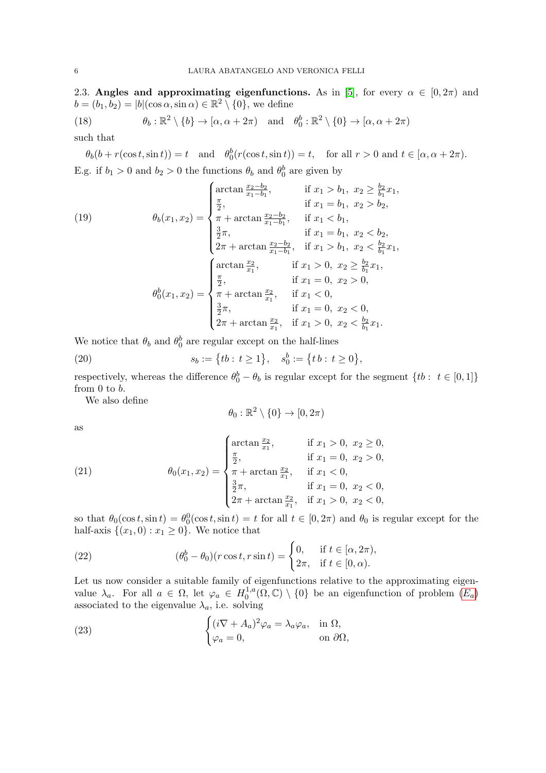2.3. Angles and approximating eigenfunctions. As in [\[5\]](#page-23-6), for every  $\alpha \in [0, 2\pi)$  and  $b = (b_1, b_2) = |b|(\cos \alpha, \sin \alpha) \in \mathbb{R}^2 \setminus \{0\},\$ we define

<span id="page-5-2"></span>(18) 
$$
\theta_b : \mathbb{R}^2 \setminus \{b\} \to [\alpha, \alpha + 2\pi) \text{ and } \theta_0^b : \mathbb{R}^2 \setminus \{0\} \to [\alpha, \alpha + 2\pi)
$$

such that

 $\theta_b(b + r(\cos t, \sin t)) = t$  and  $\theta_0^b(r(\cos t, \sin t)) = t$ , for all  $r > 0$  and  $t \in [\alpha, \alpha + 2\pi)$ . E.g. if  $b_1 > 0$  and  $b_2 > 0$  the functions  $\theta_b$  and  $\theta_0^b$  are given by

(19)  
\n
$$
\theta_b(x_1, x_2) = \begin{cases}\n\frac{\pi}{2}, & \text{if } x_1 > b_1, x_2 \ge \frac{b_2}{b_1} x_1, \\
\frac{\pi}{2}, & \text{if } x_1 = b_1, x_2 > b_2, \\
\pi + \arctan \frac{x_2 - b_2}{x_1 - b_1}, & \text{if } x_1 < b_1, \\
\frac{3}{2}\pi, & \text{if } x_1 = b_1, x_2 < b_2, \\
2\pi + \arctan \frac{x_2 - b_2}{x_1 - b_1}, & \text{if } x_1 > b_1, x_2 < \frac{b_2}{b_1} x_1, \\
\frac{\pi}{2}, & \text{if } x_1 > 0, x_2 \ge \frac{b_2}{b_1} x_1, \\
\frac{\pi}{2}, & \text{if } x_1 = 0, x_2 > 0, \\
\pi + \arctan \frac{x_2}{x_1}, & \text{if } x_1 < 0, \\
\frac{3}{2}\pi, & \text{if } x_1 < 0, \\
2\pi + \arctan \frac{x_2}{x_1}, & \text{if } x_1 = 0, x_2 < 0, \\
2\pi + \arctan \frac{x_2}{x_1}, & \text{if } x_1 > 0, x_2 < \frac{b_2}{b_1} x_1.\n\end{cases}
$$

We notice that  $\theta_b$  and  $\theta_0^b$  are regular except on the half-lines

(20) 
$$
s_b := \{tb : t \ge 1\}, \quad s_0^b := \{tb : t \ge 0\},
$$

respectively, whereas the difference  $\theta_0^b - \theta_b$  is regular except for the segment  $\{tb : t \in [0,1]\}$ from 0 to b.

We also define

<span id="page-5-1"></span>
$$
\theta_0:\mathbb{R}^2\setminus\{0\}\to[0,2\pi)
$$

as

(21) 
$$
\theta_0(x_1, x_2) = \begin{cases} \arctan \frac{x_2}{x_1}, & \text{if } x_1 > 0, x_2 \ge 0, \\ \frac{\pi}{2}, & \text{if } x_1 = 0, x_2 > 0, \\ \pi + \arctan \frac{x_2}{x_1}, & \text{if } x_1 < 0, \\ \frac{3}{2}\pi, & \text{if } x_1 = 0, x_2 < 0, \\ 2\pi + \arctan \frac{x_2}{x_1}, & \text{if } x_1 > 0, x_2 < 0, \end{cases}
$$

so that  $\theta_0(\cos t, \sin t) = \theta_0^0(\cos t, \sin t) = t$  for all  $t \in [0, 2\pi)$  and  $\theta_0$  is regular except for the half-axis  $\{(x_1, 0) : x_1 \geq 0\}$ . We notice that

<span id="page-5-3"></span>(22) 
$$
(\theta_0^b - \theta_0)(r \cos t, r \sin t) = \begin{cases} 0, & \text{if } t \in [\alpha, 2\pi), \\ 2\pi, & \text{if } t \in [0, \alpha). \end{cases}
$$

Let us now consider a suitable family of eigenfunctions relative to the approximating eigenvalue  $\lambda_a$ . For all  $a \in \Omega$ , let  $\varphi_a \in H_0^{1,a}$  $\mathcal{O}_0^{1,a}(\Omega,\mathbb{C})\setminus\{0\}$  be an eigenfunction of problem  $(E_a)$  $(E_a)$  $(E_a)$ associated to the eigenvalue  $\lambda_a$ , i.e. solving

<span id="page-5-0"></span>(23) 
$$
\begin{cases} (i\nabla + A_a)^2 \varphi_a = \lambda_a \varphi_a, & \text{in } \Omega, \\ \varphi_a = 0, & \text{on } \partial \Omega, \end{cases}
$$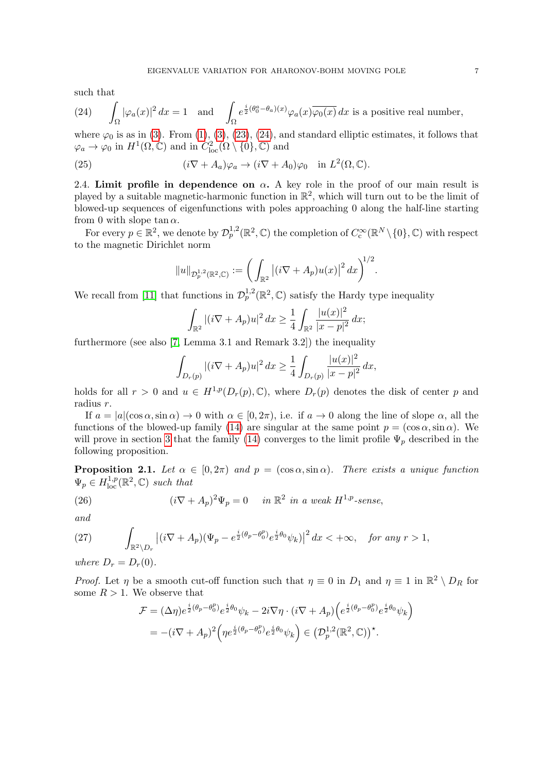such that

<span id="page-6-0"></span>(24) 
$$
\int_{\Omega} |\varphi_a(x)|^2 dx = 1 \text{ and } \int_{\Omega} e^{\frac{i}{2}(\theta_0^a - \theta_a)(x)} \varphi_a(x) \overline{\varphi_0(x)} dx \text{ is a positive real number,}
$$

where  $\varphi_0$  is as in [\(3\)](#page-1-3). From [\(1\)](#page-1-0), (3), [\(23\)](#page-5-0), [\(24\)](#page-6-0), and standard elliptic estimates, it follows that  $\varphi_a \to \varphi_0$  in  $H^1(\Omega, \mathbb{C})$  and in  $C^2_{\text{loc}}(\Omega \setminus \{0\}, \mathbb{C})$  and

(25) 
$$
(i\nabla + A_a)\varphi_a \to (i\nabla + A_0)\varphi_0 \text{ in } L^2(\Omega, \mathbb{C}).
$$

2.4. Limit profile in dependence on  $\alpha$ . A key role in the proof of our main result is played by a suitable magnetic-harmonic function in  $\mathbb{R}^2$ , which will turn out to be the limit of blowed-up sequences of eigenfunctions with poles approaching 0 along the half-line starting from 0 with slope tan  $\alpha$ .

For every  $p \in \mathbb{R}^2$ , we denote by  $\mathcal{D}_p^{1,2}(\mathbb{R}^2,\mathbb{C})$  the completion of  $C_c^{\infty}(\mathbb{R}^N \setminus \{0\},\mathbb{C})$  with respect to the magnetic Dirichlet norm

<span id="page-6-4"></span>
$$
||u||_{\mathcal{D}_{p}^{1,2}(\mathbb{R}^{2},\mathbb{C})} := \bigg(\int_{\mathbb{R}^{2}} |(i\nabla + A_{p})u(x)|^{2} dx\bigg)^{1/2}.
$$

We recall from [\[11\]](#page-23-13) that functions in  $\mathcal{D}_p^{1,2}(\mathbb{R}^2,\mathbb{C})$  satisfy the Hardy type inequality

$$
\int_{\mathbb{R}^2} |(i\nabla + A_p)u|^2 dx \ge \frac{1}{4} \int_{\mathbb{R}^2} \frac{|u(x)|^2}{|x - p|^2} dx;
$$

furthermore (see also [\[7,](#page-23-11) Lemma 3.1 and Remark 3.2]) the inequality

$$
\int_{D_r(p)} |(i\nabla + A_p)u|^2 dx \ge \frac{1}{4} \int_{D_r(p)} \frac{|u(x)|^2}{|x - p|^2} dx,
$$

holds for all  $r > 0$  and  $u \in H^{1,p}(D_r(p), \mathbb{C})$ , where  $D_r(p)$  denotes the disk of center p and radius r.

If  $a = |a|(\cos \alpha, \sin \alpha) \to 0$  with  $\alpha \in [0, 2\pi)$ , i.e. if  $a \to 0$  along the line of slope  $\alpha$ , all the functions of the blowed-up family [\(14\)](#page-3-3) are singular at the same point  $p = (\cos \alpha, \sin \alpha)$ . We will prove in section [3](#page-7-0) that the family [\(14\)](#page-3-3) converges to the limit profile  $\Psi_p$  described in the following proposition.

<span id="page-6-3"></span>**Proposition 2.1.** Let  $\alpha \in [0, 2\pi)$  and  $p = (\cos \alpha, \sin \alpha)$ . There exists a unique function  $\Psi_p \in H^{1,p}_{loc}(\mathbb{R}^2, \mathbb{C})$  such that

<span id="page-6-1"></span>(26) 
$$
(i\nabla + A_p)^2 \Psi_p = 0 \quad in \mathbb{R}^2 in a weak H^{1,p} - sense,
$$

and

<span id="page-6-2"></span>(27) 
$$
\int_{\mathbb{R}^2 \setminus D_r} \left| (i\nabla + A_p)(\Psi_p - e^{\frac{i}{2}(\theta_p - \theta_0^p)} e^{\frac{i}{2}\theta_0} \psi_k) \right|^2 dx < +\infty, \text{ for any } r > 1,
$$

where  $D_r = D_r(0)$ .

*Proof.* Let  $\eta$  be a smooth cut-off function such that  $\eta \equiv 0$  in  $D_1$  and  $\eta \equiv 1$  in  $\mathbb{R}^2 \setminus D_R$  for some  $R > 1$ . We observe that

$$
\mathcal{F} = (\Delta \eta) e^{\frac{i}{2}(\theta_p - \theta_0^p)} e^{\frac{i}{2}\theta_0} \psi_k - 2i\nabla \eta \cdot (i\nabla + A_p) \left( e^{\frac{i}{2}(\theta_p - \theta_0^p)} e^{\frac{i}{2}\theta_0} \psi_k \right)
$$
  
= 
$$
-(i\nabla + A_p)^2 \left( \eta e^{\frac{i}{2}(\theta_p - \theta_0^p)} e^{\frac{i}{2}\theta_0} \psi_k \right) \in \left( \mathcal{D}_p^{1,2}(\mathbb{R}^2, \mathbb{C}) \right)^{\star}.
$$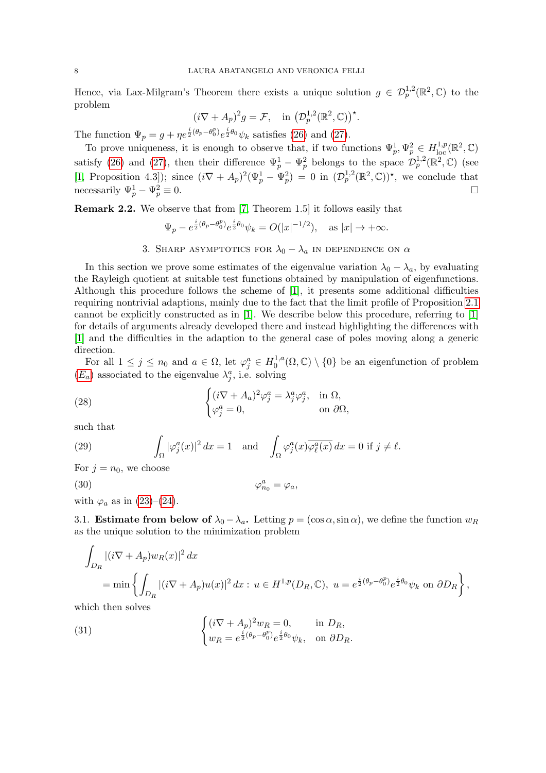Hence, via Lax-Milgram's Theorem there exists a unique solution  $g \in \mathcal{D}_p^{1,2}(\mathbb{R}^2,\mathbb{C})$  to the problem

$$
(i\nabla + A_p)^2 g = \mathcal{F}, \quad \text{in } \left(\mathcal{D}_p^{1,2}(\mathbb{R}^2,\mathbb{C})\right)^\star.
$$

The function  $\Psi_p = g + \eta e^{\frac{i}{2}(\theta_p - \theta_0^p)} e^{\frac{i}{2}\theta_0} \psi_k$  satisfies [\(26\)](#page-6-1) and [\(27\)](#page-6-2).

To prove uniqueness, it is enough to observe that, if two functions  $\Psi_p^1, \Psi_p^2 \in H^{1,p}_{loc}(\mathbb{R}^2, \mathbb{C})$ satisfy [\(26\)](#page-6-1) and [\(27\)](#page-6-2), then their difference  $\Psi_p^1 - \Psi_p^2$  belongs to the space  $\mathcal{D}_p^{1,2}(\mathbb{R}^2,\mathbb{C})$  (see [\[1,](#page-23-9) Proposition 4.3]); since  $(i\nabla + A_p)^2(\Psi_p^1 - \Psi_p^2) = 0$  in  $(\mathcal{D}_p^{1,2}(\mathbb{R}^2,\mathbb{C}))^*$ , we conclude that necessarily  $\Psi_p^1 - \Psi_p^2$  $p^2_p \equiv 0.$ 

Remark 2.2. We observe that from [\[7,](#page-23-11) Theorem 1.5] it follows easily that

$$
\Psi_p - e^{\frac{i}{2}(\theta_p - \theta_0^p)} e^{\frac{i}{2}\theta_0} \psi_k = O(|x|^{-1/2}), \quad \text{as } |x| \to +\infty.
$$

3. SHARP ASYMPTOTICS FOR  $\lambda_0 - \lambda_a$  in dependence on  $\alpha$ 

<span id="page-7-0"></span>In this section we prove some estimates of the eigenvalue variation  $\lambda_0 - \lambda_a$ , by evaluating the Rayleigh quotient at suitable test functions obtained by manipulation of eigenfunctions. Although this procedure follows the scheme of [\[1\]](#page-23-9), it presents some additional difficulties requiring nontrivial adaptions, mainly due to the fact that the limit profile of Proposition [2.1](#page-6-3) cannot be explicitly constructed as in [\[1\]](#page-23-9). We describe below this procedure, referring to [\[1\]](#page-23-9) for details of arguments already developed there and instead highlighting the differences with [\[1\]](#page-23-9) and the difficulties in the adaption to the general case of poles moving along a generic direction.

For all  $1 \leq j \leq n_0$  and  $a \in \Omega$ , let  $\varphi_j^a \in H_0^{1,a}$  $\mathcal{O}_0^{1,a}(\Omega,\mathbb{C})\setminus\{0\}$  be an eigenfunction of problem  $(E_a)$  $(E_a)$  $(E_a)$  associated to the eigenvalue  $\lambda_j^a$ , i.e. solving

<span id="page-7-2"></span>(28) 
$$
\begin{cases} (i\nabla + A_a)^2 \varphi_j^a = \lambda_j^a \varphi_j^a, & \text{in } \Omega, \\ \varphi_j^a = 0, & \text{on } \partial\Omega, \end{cases}
$$

such that

(29) 
$$
\int_{\Omega} |\varphi_j^a(x)|^2 dx = 1 \text{ and } \int_{\Omega} \varphi_j^a(x) \overline{\varphi_\ell^a(x)} dx = 0 \text{ if } j \neq \ell.
$$

For  $j = n_0$ , we choose

<span id="page-7-3"></span>
$$
\varphi_{n_0}^a = \varphi_a,
$$

with  $\varphi_a$  as in [\(23\)](#page-5-0)–[\(24\)](#page-6-0).

3.1. Estimate from below of  $\lambda_0 - \lambda_a$ . Letting  $p = (\cos \alpha, \sin \alpha)$ , we define the function  $w_R$ as the unique solution to the minimization problem

$$
\int_{D_R} |(i\nabla + A_p)w_R(x)|^2 dx
$$
  
= min  $\left\{ \int_{D_R} |(i\nabla + A_p)u(x)|^2 dx : u \in H^{1,p}(D_R, \mathbb{C}), u = e^{\frac{i}{2}(\theta_p - \theta_0^p)} e^{\frac{i}{2}\theta_0} \psi_k \text{ on } \partial D_R \right\},$ 

which then solves

<span id="page-7-1"></span>(31) 
$$
\begin{cases} (i\nabla + A_p)^2 w_R = 0, & \text{in } D_R, \\ w_R = e^{\frac{i}{2}(\theta_p - \theta_0^p)} e^{\frac{i}{2}\theta_0} \psi_k, & \text{on } \partial D_R. \end{cases}
$$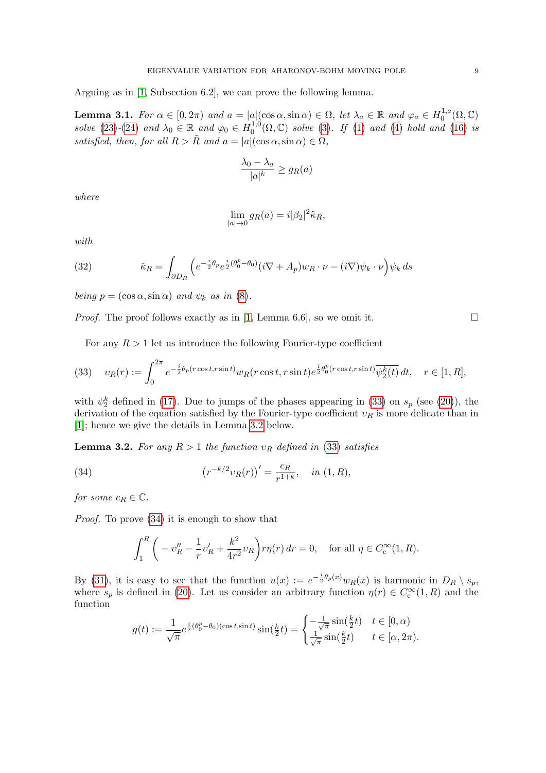Arguing as in [\[1,](#page-23-9) Subsection 6.2], we can prove the following lemma.

<span id="page-8-4"></span>**Lemma 3.1.** For  $\alpha \in [0, 2\pi)$  and  $a = |a|(\cos \alpha, \sin \alpha) \in \Omega$ , let  $\lambda_a \in \mathbb{R}$  and  $\varphi_a \in H_0^{1,a}$  $_{0}^{1,a}(\Omega,\mathbb{C})$ solve [\(23\)](#page-5-0)-[\(24\)](#page-6-0) and  $\lambda_0 \in \mathbb{R}$  and  $\varphi_0 \in H_0^{1,0}$  $_{0}^{1,0}(\Omega,\mathbb{C})$  solve [\(3\)](#page-1-3). If [\(1\)](#page-1-0) and [\(4\)](#page-1-4) hold and [\(16\)](#page-4-2) is satisfied, then, for all  $R > \tilde{R}$  and  $a = |a|(\cos \alpha, \sin \alpha) \in \Omega$ ,

$$
\frac{\lambda_0 - \lambda_a}{|a|^k} \ge g_R(a)
$$

where

$$
\lim_{|a| \to 0} g_R(a) = i |\beta_2|^2 \tilde{\kappa}_R,
$$

with

<span id="page-8-3"></span>(32) 
$$
\tilde{\kappa}_R = \int_{\partial D_R} \left( e^{-\frac{i}{2}\theta_p} e^{\frac{i}{2}(\theta_0^p - \theta_0)} (i\nabla + A_p) w_R \cdot \nu - (i\nabla) \psi_k \cdot \nu \right) \psi_k ds
$$

being  $p = (\cos \alpha, \sin \alpha)$  and  $\psi_k$  as in [\(8\)](#page-2-4).

*Proof.* The proof follows exactly as in [\[1,](#page-23-9) Lemma 6.6], so we omit it.  $\square$ 

For any  $R > 1$  let us introduce the following Fourier-type coefficient

<span id="page-8-0"></span>(33) 
$$
v_R(r) := \int_0^{2\pi} e^{-\frac{i}{2}\theta_p(r\cos t, r\sin t)} w_R(r\cos t, r\sin t) e^{\frac{i}{2}\theta_0^p(r\cos t, r\sin t)} \overline{\psi_2^k(t)} dt, \quad r \in [1, R],
$$

with  $\psi_2^k$  defined in [\(17\)](#page-4-3). Due to jumps of the phases appearing in [\(33\)](#page-8-0) on  $s_p$  (see [\(20\)](#page-5-1)), the derivation of the equation satisfied by the Fourier-type coefficient  $v_R$  is more delicate than in [\[1\]](#page-23-9); hence we give the details in Lemma [3.2](#page-8-1) below.

<span id="page-8-1"></span>**Lemma 3.2.** For any  $R > 1$  the function  $v_R$  defined in [\(33\)](#page-8-0) satisfies

(34) 
$$
(r^{-k/2}v_R(r))' = \frac{c_R}{r^{1+k}}, \text{ in } (1, R),
$$

for some  $c_R \in \mathbb{C}$ .

Proof. To prove [\(34\)](#page-8-2) it is enough to show that

<span id="page-8-2"></span>
$$
\int_{1}^{R} \left( -v_R'' - \frac{1}{r}v_R' + \frac{k^2}{4r^2}v_R \right) r \eta(r) \, dr = 0, \quad \text{for all } \eta \in C_c^{\infty}(1, R).
$$

By [\(31\)](#page-7-1), it is easy to see that the function  $u(x) := e^{-\frac{i}{2}\theta_p(x)}w_R(x)$  is harmonic in  $D_R \setminus s_p$ , where  $s_p$  is defined in [\(20\)](#page-5-1). Let us consider an arbitrary function  $\eta(r) \in C_c^{\infty}(1, R)$  and the function

$$
g(t) := \frac{1}{\sqrt{\pi}} e^{\frac{i}{2}(\theta_0^p - \theta_0)(\cos t, \sin t)} \sin(\frac{k}{2}t) = \begin{cases} -\frac{1}{\sqrt{\pi}} \sin(\frac{k}{2}t) & t \in [0, \alpha) \\ \frac{1}{\sqrt{\pi}} \sin(\frac{k}{2}t) & t \in [\alpha, 2\pi). \end{cases}
$$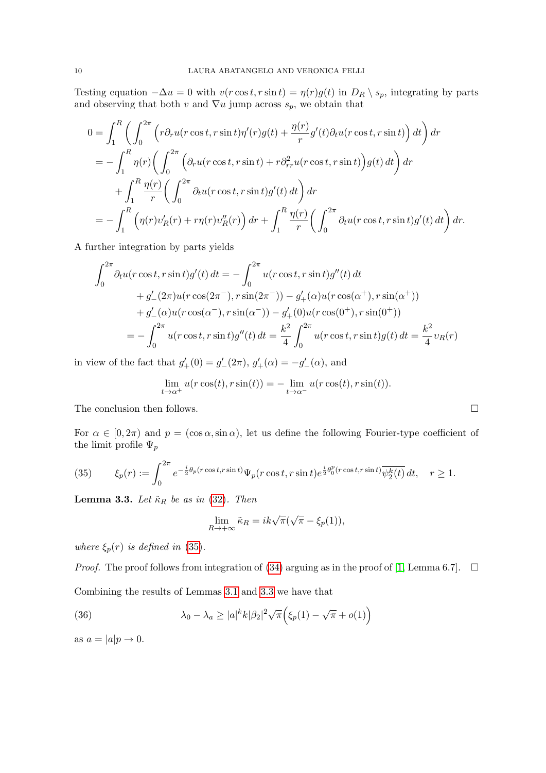Testing equation  $-\Delta u = 0$  with  $v(r \cos t, r \sin t) = \eta(r)g(t)$  in  $D_R \setminus s_p$ , integrating by parts and observing that both v and  $\nabla u$  jump across  $s_p$ , we obtain that

$$
0 = \int_{1}^{R} \left( \int_{0}^{2\pi} \left( r \partial_{r} u(r \cos t, r \sin t) \eta'(r) g(t) + \frac{\eta(r)}{r} g'(t) \partial_{t} u(r \cos t, r \sin t) \right) dt \right) dr
$$
  
\n
$$
= - \int_{1}^{R} \eta(r) \left( \int_{0}^{2\pi} \left( \partial_{r} u(r \cos t, r \sin t) + r \partial_{rr}^{2} u(r \cos t, r \sin t) \right) g(t) dt \right) dr
$$
  
\n
$$
+ \int_{1}^{R} \frac{\eta(r)}{r} \left( \int_{0}^{2\pi} \partial_{t} u(r \cos t, r \sin t) g'(t) dt \right) dr
$$
  
\n
$$
= - \int_{1}^{R} \left( \eta(r) v_{R}'(r) + r \eta(r) v_{R}''(r) \right) dr + \int_{1}^{R} \frac{\eta(r)}{r} \left( \int_{0}^{2\pi} \partial_{t} u(r \cos t, r \sin t) g'(t) dt \right) dr.
$$

A further integration by parts yields

$$
\int_0^{2\pi} \partial_t u(r \cos t, r \sin t) g'(t) dt = -\int_0^{2\pi} u(r \cos t, r \sin t) g''(t) dt \n+ g'_{-}(2\pi) u(r \cos(2\pi^{-}), r \sin(2\pi^{-})) - g'_{+}(\alpha) u(r \cos(\alpha^{+}), r \sin(\alpha^{+})) \n+ g'_{-}(\alpha) u(r \cos(\alpha^{-}), r \sin(\alpha^{-})) - g'_{+}(0) u(r \cos(0^{+}), r \sin(0^{+})) \n= -\int_0^{2\pi} u(r \cos t, r \sin t) g''(t) dt = \frac{k^2}{4} \int_0^{2\pi} u(r \cos t, r \sin t) g(t) dt = \frac{k^2}{4} v_R(r)
$$

in view of the fact that  $g'_{+}(0) = g'_{-}(2\pi), g'_{+}(\alpha) = -g'_{-}(\alpha)$ , and

$$
\lim_{t \to \alpha^+} u(r \cos(t), r \sin(t)) = - \lim_{t \to \alpha^-} u(r \cos(t), r \sin(t)).
$$

The conclusion then follows.

For  $\alpha \in [0, 2\pi)$  and  $p = (\cos \alpha, \sin \alpha)$ , let us define the following Fourier-type coefficient of the limit profile  $\Psi_p$ 

<span id="page-9-0"></span>(35) 
$$
\xi_p(r) := \int_0^{2\pi} e^{-\frac{i}{2}\theta_p(r\cos t, r\sin t)} \Psi_p(r\cos t, r\sin t) e^{\frac{i}{2}\theta_0^p(r\cos t, r\sin t)} \overline{\psi_2^k(t)} dt, \quad r \ge 1.
$$

<span id="page-9-1"></span>**Lemma 3.3.** Let  $\tilde{\kappa}_R$  be as in [\(32\)](#page-8-3). Then

<span id="page-9-2"></span>
$$
\lim_{R \to +\infty} \tilde{\kappa}_R = ik\sqrt{\pi}(\sqrt{\pi} - \xi_p(1)),
$$

where  $\xi_p(r)$  is defined in [\(35\)](#page-9-0).

*Proof.* The proof follows from integration of [\(34\)](#page-8-2) arguing as in the proof of [\[1,](#page-23-9) Lemma 6.7].  $\Box$ 

Combining the results of Lemmas [3.1](#page-8-4) and [3.3](#page-9-1) we have that

(36) 
$$
\lambda_0 - \lambda_a \ge |a|^k k |\beta_2|^2 \sqrt{\pi} \Big( \xi_p(1) - \sqrt{\pi} + o(1) \Big)
$$

as  $a = |a|p \rightarrow 0$ .

$$
\qquad \qquad \Box
$$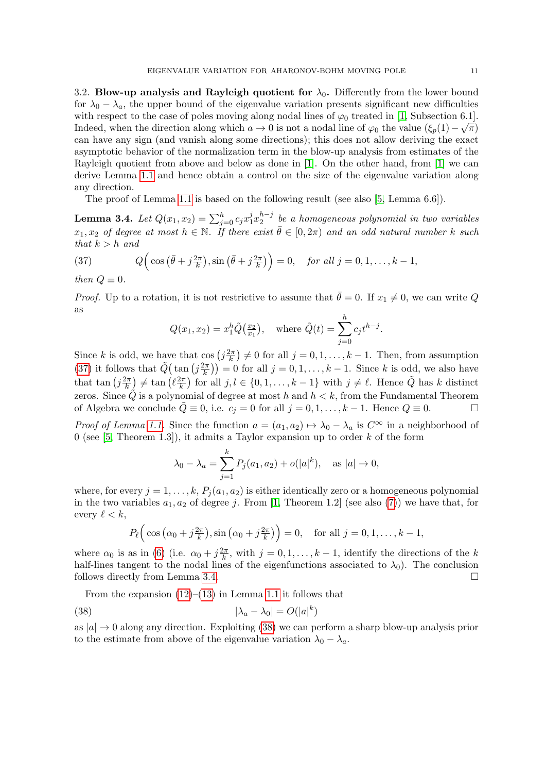3.2. Blow-up analysis and Rayleigh quotient for  $\lambda_0$ . Differently from the lower bound for  $\lambda_0 - \lambda_a$ , the upper bound of the eigenvalue variation presents significant new difficulties with respect to the case of poles moving along nodal lines of  $\varphi_0$  treated in [\[1,](#page-23-9) Subsection 6.1]. Indeed, when the direction along which  $a \to 0$  is not a nodal line of  $\varphi_0$  the value  $(\xi_p(1) - \sqrt{\pi})$ can have any sign (and vanish along some directions); this does not allow deriving the exact asymptotic behavior of the normalization term in the blow-up analysis from estimates of the Rayleigh quotient from above and below as done in [\[1\]](#page-23-9). On the other hand, from [\[1\]](#page-23-9) we can derive Lemma [1.1](#page-2-1) and hence obtain a control on the size of the eigenvalue variation along any direction.

The proof of Lemma [1.1](#page-2-1) is based on the following result (see also [\[5,](#page-23-6) Lemma 6.6]).

<span id="page-10-1"></span>Lemma 3.4.  $Let$   $Q(x_1, x_2) = \sum_{j=0}^{h} c_j x_1^j$  $i_1x_2^{h-j}$  $\binom{n-j}{2}$  be a homogeneous polynomial in two variables  $x_1, x_2$  of degree at most  $h \in \mathbb{N}$ . If there exist  $\bar{\theta} \in [0, 2\pi)$  and an odd natural number k such that  $k > h$  and

<span id="page-10-0"></span>(37) 
$$
Q\left(\cos\left(\bar{\theta}+j\frac{2\pi}{k}\right),\sin\left(\bar{\theta}+j\frac{2\pi}{k}\right)\right)=0, \text{ for all } j=0,1,\ldots,k-1,
$$

then  $Q \equiv 0$ .

*Proof.* Up to a rotation, it is not restrictive to assume that  $\bar{\theta} = 0$ . If  $x_1 \neq 0$ , we can write Q as

$$
Q(x_1, x_2) = x_1^h \tilde{Q}(\frac{x_2}{x_1}),
$$
 where  $\tilde{Q}(t) = \sum_{j=0}^h c_j t^{h-j}.$ 

Since k is odd, we have that  $\cos\left(j\frac{2\pi}{k}\right)$  $\left(\frac{2\pi}{k}\right) \neq 0$  for all  $j = 0, 1, \ldots, k - 1$ . Then, from assumption [\(37\)](#page-10-0) it follows that  $\tilde{Q}$  (tan  $(j\frac{2\pi}{k})$  $\binom{2\pi}{k}$  = 0 for all  $j = 0, 1, \ldots, k - 1$ . Since k is odd, we also have that tan  $(j\frac{2\pi}{k})$  $\left(\ell \frac{2\pi}{k}\right) \neq \tan \left(\ell \frac{2\pi}{k}\right)$  $\left(\frac{k}{k}\right)$  for all  $j, l \in \{0, 1, \ldots, k-1\}$  with  $j \neq \ell$ . Hence  $\tilde{Q}$  has k distinct zeros. Since  $\tilde{Q}$  is a polynomial of degree at most h and  $h < k$ , from the Fundamental Theorem of Algebra we conclude  $\tilde{Q} \equiv 0$ , i.e.  $c_j = 0$  for all  $j = 0, 1, \ldots, k - 1$ . Hence  $Q \equiv 0$ .

*Proof of Lemma [1.1.](#page-2-1)* Since the function  $a = (a_1, a_2) \mapsto \lambda_0 - \lambda_a$  is  $C^{\infty}$  in a neighborhood of 0 (see [\[5,](#page-23-6) Theorem 1.3]), it admits a Taylor expansion up to order  $k$  of the form

$$
\lambda_0 - \lambda_a = \sum_{j=1}^k P_j(a_1, a_2) + o(|a|^k), \text{ as } |a| \to 0,
$$

where, for every  $j = 1, \ldots, k$ ,  $P_i(a_1, a_2)$  is either identically zero or a homogeneous polynomial in the two variables  $a_1, a_2$  of degree j. From [\[1,](#page-23-9) Theorem 1.2] (see also [\(7\)](#page-2-0)) we have that, for every  $\ell < k$ ,

<span id="page-10-2"></span>
$$
P_{\ell}\Big(\cos\big(\alpha_0+j\frac{2\pi}{k}\big),\sin\big(\alpha_0+j\frac{2\pi}{k}\big)\Big)=0,\quad \text{for all }j=0,1,\ldots,k-1,
$$

where  $\alpha_0$  is as in [\(6\)](#page-1-5) (i.e.  $\alpha_0 + j\frac{2\pi}{k}$  $\frac{2\pi}{k}$ , with  $j = 0, 1, \ldots, k - 1$ , identify the directions of the k half-lines tangent to the nodal lines of the eigenfunctions associated to  $\lambda_0$ ). The conclusion follows directly from Lemma [3.4.](#page-10-1)

From the expansion  $(12)$ – $(13)$  in Lemma [1.1](#page-2-1) it follows that

(38) 
$$
|\lambda_a - \lambda_0| = O(|a|^k)
$$

as  $|a| \to 0$  along any direction. Exploiting [\(38\)](#page-10-2) we can perform a sharp blow-up analysis prior to the estimate from above of the eigenvalue variation  $\lambda_0 - \lambda_a$ .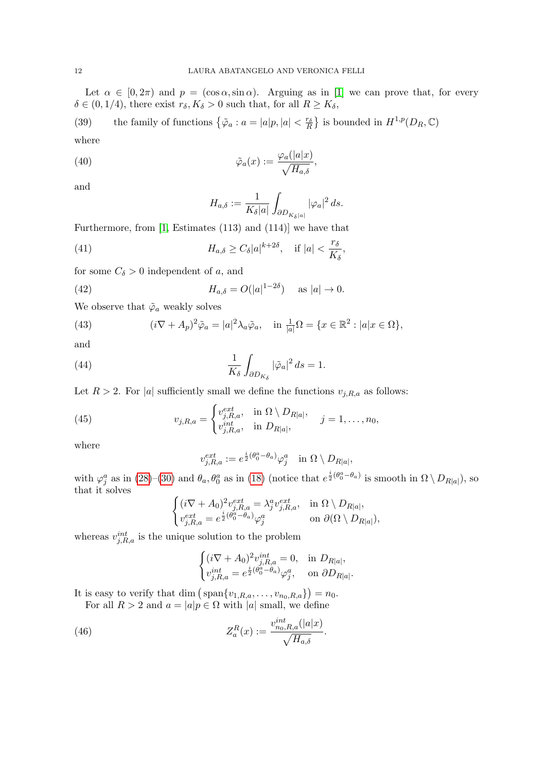Let  $\alpha \in [0, 2\pi)$  and  $p = (\cos \alpha, \sin \alpha)$ . Arguing as in [\[1\]](#page-23-9) we can prove that, for every  $\delta \in (0, 1/4)$ , there exist  $r_{\delta}, K_{\delta} > 0$  such that, for all  $R \geq K_{\delta}$ ,

<span id="page-11-0"></span>(39) the family of functions  $\{\tilde{\varphi}_a : a = |a|p, |a| < \frac{r_\delta}{R}\}$  is bounded in  $H^{1,p}(D_R, \mathbb{C})$ where

(40) 
$$
\tilde{\varphi}_a(x) := \frac{\varphi_a(|a|x)}{\sqrt{H_{a,\delta}}},
$$

and

<span id="page-11-3"></span><span id="page-11-2"></span><span id="page-11-1"></span>
$$
H_{a,\delta}:=\frac{1}{K_{\delta}|a|}\int_{\partial D_{K_{\delta}|a|}}|\varphi_a|^2\,ds.
$$

Furthermore, from [\[1,](#page-23-9) Estimates (113) and (114)] we have that

(41) 
$$
H_{a,\delta} \geq C_{\delta} |a|^{k+2\delta}, \quad \text{if } |a| < \frac{r_{\delta}}{K_{\delta}},
$$

for some  $C_{\delta} > 0$  independent of a, and

(42) 
$$
H_{a,\delta} = O(|a|^{1-2\delta})
$$
 as  $|a| \to 0$ .

We observe that  $\tilde{\varphi}_a$  weakly solves

<span id="page-11-5"></span>(43) 
$$
(i\nabla + A_p)^2 \tilde{\varphi}_a = |a|^2 \lambda_a \tilde{\varphi}_a, \quad \text{in } \frac{1}{|a|} \Omega = \{x \in \mathbb{R}^2 : |a|x \in \Omega\},
$$

and

(44) 
$$
\frac{1}{K_{\delta}} \int_{\partial D_{K_{\delta}}} |\tilde{\varphi}_a|^2 ds = 1.
$$

Let  $R > 2$ . For |a| sufficiently small we define the functions  $v_{j,R,a}$  as follows:

(45) 
$$
v_{j,R,a} = \begin{cases} v_{j,R,a}^{ext}, & \text{in } \Omega \setminus D_{R|a|}, \\ v_{j,R,a}^{int}, & \text{in } D_{R|a|}, \end{cases} \quad j = 1,\ldots,n_0,
$$

where

<span id="page-11-4"></span>
$$
v_{j,R,a}^{ext} := e^{\frac{i}{2}(\theta_0^a - \theta_a)} \varphi_j^a \quad \text{in } \Omega \setminus D_{R|a|},
$$

with  $\varphi_j^a$  as in [\(28\)](#page-7-2)–[\(30\)](#page-7-3) and  $\theta_a$ ,  $\theta_0^a$  as in [\(18\)](#page-5-2) (notice that  $e^{\frac{i}{2}(\theta_0^a - \theta_a)}$  is smooth in  $\Omega \setminus D_{R|a|}$ ), so that it solves

$$
\begin{cases} (i\nabla + A_0)^2 v_{j,R,a}^{ext} = \lambda_j^a v_{j,R,a}^{ext}, & \text{in } \Omega \setminus D_{R|a|}, \\ v_{j,R,a}^{ext} = e^{\frac{i}{2}(\theta_0^a - \theta_a)} \varphi_j^a & \text{on } \partial(\Omega \setminus D_{R|a|}), \end{cases}
$$

whereas  $v_{j,R,a}^{int}$  is the unique solution to the problem

<span id="page-11-6"></span>
$$
\begin{cases} (i\nabla + A_0)^2 v_{j,R,a}^{int} = 0, & \text{in } D_{R|a|}, \\ v_{j,R,a}^{int} = e^{\frac{i}{2}(\theta_0^a - \theta_a)} \varphi_j^a, & \text{on } \partial D_{R|a|}. \end{cases}
$$

It is easy to verify that dim  $(\text{span}\{v_{1,R,a},\ldots,v_{n_0,R,a}\})=n_0.$ 

For all  $R > 2$  and  $a = |a|p \in \Omega$  with |a| small, we define

(46) 
$$
Z_a^R(x) := \frac{v_{n_0,R,a}^{int}(|a|x)}{\sqrt{H_{a,\delta}}}.
$$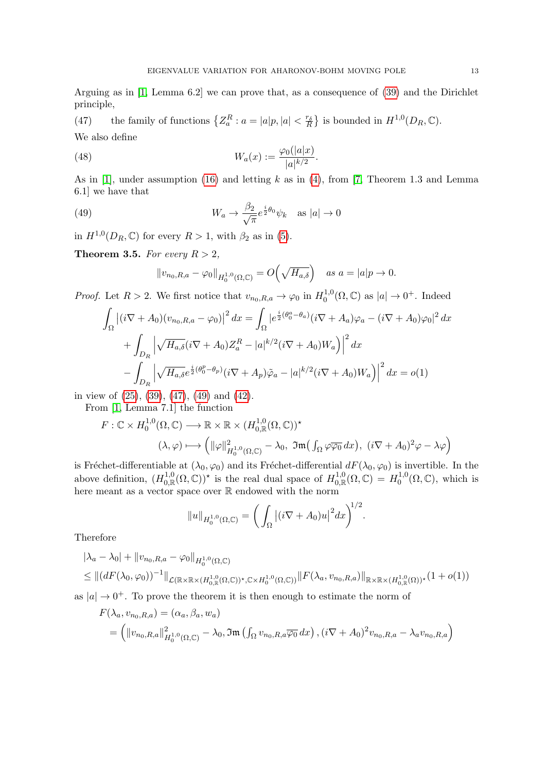Arguing as in [\[1,](#page-23-9) Lemma 6.2] we can prove that, as a consequence of [\(39\)](#page-11-0) and the Dirichlet principle,

<span id="page-12-0"></span>(47) the family of functions  $\{Z_a^R : a = |a|p, |a| < \frac{r_\delta}{R}\}$  is bounded in  $H^{1,0}(D_R, \mathbb{C})$ . We also define

(48) 
$$
W_a(x) := \frac{\varphi_0(|a|x)}{|a|^{k/2}}.
$$

As in [\[1\]](#page-23-9), under assumption [\(16\)](#page-4-2) and letting  $k$  as in [\(4\)](#page-1-4), from [\[7,](#page-23-11) Theorem 1.3 and Lemma 6.1] we have that

(49) 
$$
W_a \to \frac{\beta_2}{\sqrt{\pi}} e^{\frac{i}{2}\theta_0} \psi_k \quad \text{as } |a| \to 0
$$

in  $H^{1,0}(D_R,\mathbb{C})$  for every  $R>1$ , with  $\beta_2$  as in [\(5\)](#page-1-1).

<span id="page-12-2"></span>**Theorem 3.5.** For every  $R > 2$ ,

<span id="page-12-1"></span>
$$
||v_{n_0,R,a} - \varphi_0||_{H_0^{1,0}(\Omega,\mathbb{C})} = O(\sqrt{H_{a,\delta}}) \text{ as } a = |a|p \to 0.
$$

*Proof.* Let  $R > 2$ . We first notice that  $v_{n_0,R,a} \to \varphi_0$  in  $H_0^{1,0}$  $_0^{1,0}(\Omega,\mathbb{C})$  as  $|a|\to 0^+$ . Indeed

$$
\int_{\Omega} \left| (i\nabla + A_0)(v_{n_0,R,a} - \varphi_0) \right|^2 dx = \int_{\Omega} \left| e^{\frac{i}{2}(\theta_0^a - \theta_a)} (i\nabla + A_a)\varphi_a - (i\nabla + A_0)\varphi_0 \right|^2 dx
$$

$$
+ \int_{D_R} \left| \sqrt{H_{a,\delta}} (i\nabla + A_0) Z_a^R - |a|^{k/2} (i\nabla + A_0) W_a \right|^2 dx
$$

$$
- \int_{D_R} \left| \sqrt{H_{a,\delta}} e^{\frac{i}{2}(\theta_0^p - \theta_p)} (i\nabla + A_p)\tilde{\varphi}_a - |a|^{k/2} (i\nabla + A_0) W_a \right|^2 dx = o(1)
$$

in view of [\(25\)](#page-6-4), [\(39\)](#page-11-0), [\(47\)](#page-12-0), [\(49\)](#page-12-1) and [\(42\)](#page-11-1).

From [\[1,](#page-23-9) Lemma 7.1] the function

$$
F: \mathbb{C} \times H_0^{1,0}(\Omega, \mathbb{C}) \longrightarrow \mathbb{R} \times \mathbb{R} \times (H_{0,\mathbb{R}}^{1,0}(\Omega, \mathbb{C}))^{\star}
$$

$$
(\lambda, \varphi) \longmapsto \left( \|\varphi\|_{H_0^{1,0}(\Omega, \mathbb{C})}^2 - \lambda_0, \ \Im \mathfrak{m}\left(\int_{\Omega} \varphi \overline{\varphi_0} \, dx\right), \ (i\nabla + A_0)^2 \varphi - \lambda \varphi \right)
$$

is Fréchet-differentiable at  $(\lambda_0, \varphi_0)$  and its Fréchet-differential  $dF(\lambda_0, \varphi_0)$  is invertible. In the above definition,  $(H_{0,\mathbb{R}}^{1,0}(\Omega,\mathbb{C}))^*$  is the real dual space of  $H_{0,\mathbb{R}}^{1,0}(\Omega,\mathbb{C})=H_0^{1,0}$  $_{0}^{1,0}(\Omega,\mathbb{C}),$  which is here meant as a vector space over R endowed with the norm

$$
||u||_{H_0^{1,0}(\Omega,\mathbb{C})} = \bigg(\int_{\Omega} |(i\nabla + A_0)u|^2 dx\bigg)^{1/2}.
$$

Therefore

$$
|\lambda_a - \lambda_0| + \|v_{n_0, R, a} - \varphi_0\|_{H_0^{1,0}(\Omega, \mathbb{C})}
$$
  
\n
$$
\leq \| (dF(\lambda_0, \varphi_0))^{-1} \|_{\mathcal{L}(\mathbb{R} \times \mathbb{R} \times (H_{0, \mathbb{R}}^{1,0}(\Omega, \mathbb{C}))^{\star}, \mathbb{C} \times H_0^{1,0}(\Omega, \mathbb{C}))} \| F(\lambda_a, v_{n_0, R, a}) \|_{\mathbb{R} \times \mathbb{R} \times (H_{0, \mathbb{R}}^{1,0}(\Omega))^{\star}} (1 + o(1))
$$

as  $|a| \rightarrow 0^+$ . To prove the theorem it is then enough to estimate the norm of

$$
F(\lambda_a, v_{n_0, R, a}) = (\alpha_a, \beta_a, w_a)
$$
  
=  $( ||v_{n_0, R, a}||^2_{H_0^{1,0}(\Omega, \mathbb{C})} - \lambda_0, \Im \mathfrak{m} (\int_{\Omega} v_{n_0, R, a} \overline{\varphi_0} dx), (i\nabla + A_0)^2 v_{n_0, R, a} - \lambda_a v_{n_0, R, a})$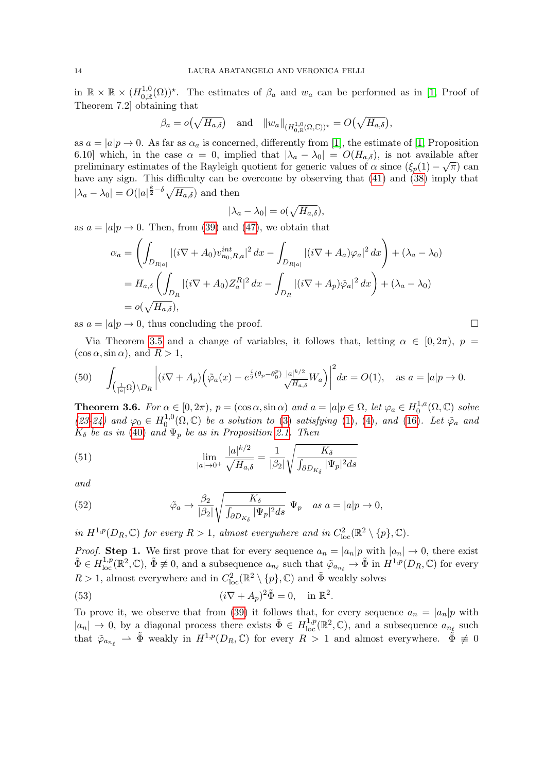in  $\mathbb{R} \times \mathbb{R} \times (H_{0,\mathbb{R}}^{1,0}(\Omega))^*$ . The estimates of  $\beta_a$  and  $w_a$  can be performed as in [\[1,](#page-23-9) Proof of Theorem 7.2] obtaining that

$$
\beta_a = o(\sqrt{H_{a,\delta}})
$$
 and  $||w_a||_{(H^{1,0}_{0,\mathbb{R}}(\Omega,\mathbb{C}))^*} = O(\sqrt{H_{a,\delta}}),$ 

as  $a = |a|p \rightarrow 0$ . As far as  $\alpha_a$  is concerned, differently from [\[1\]](#page-23-9), the estimate of [\[1,](#page-23-9) Proposition 6.10] which, in the case  $\alpha = 0$ , implied that  $|\lambda_a - \lambda_0| = O(H_{a,\delta})$ , is not available after preliminary estimates of the Rayleigh quotient for generic values of  $\alpha$  since  $(\xi_p(1) - \sqrt{\pi})$  can have any sign. This difficulty can be overcome by observing that [\(41\)](#page-11-2) and [\(38\)](#page-10-2) imply that  $|\lambda_a - \lambda_0| = O(|a|^{\frac{k}{2}-\delta} \sqrt{H_{a,\delta}})$  and then

$$
|\lambda_a - \lambda_0| = o(\sqrt{H_{a,\delta}}),
$$

as  $a = |a|p \rightarrow 0$ . Then, from [\(39\)](#page-11-0) and [\(47\)](#page-12-0), we obtain that

$$
\alpha_a = \left( \int_{D_{R|a|}} |(i\nabla + A_0)v_{n_0,R,a}^{int}|^2 dx - \int_{D_{R|a|}} |(i\nabla + A_a)\varphi_a|^2 dx \right) + (\lambda_a - \lambda_0)
$$
  
=  $H_{a,\delta} \left( \int_{D_R} |(i\nabla + A_0)Z_a^R|^2 dx - \int_{D_R} |(i\nabla + A_p)\tilde{\varphi}_a|^2 dx \right) + (\lambda_a - \lambda_0)$   
=  $o(\sqrt{H_{a,\delta}}),$ 

as  $a = |a|p \to 0$ , thus concluding the proof.

Via Theorem [3.5](#page-12-2) and a change of variables, it follows that, letting  $\alpha \in [0, 2\pi)$ ,  $p =$  $(\cos \alpha, \sin \alpha)$ , and  $R > 1$ ,

<span id="page-13-1"></span>(50) 
$$
\int_{\left(\frac{1}{|a|}\Omega\right)\backslash D_R} \left| (i\nabla + A_p) \left( \tilde{\varphi}_a(x) - e^{\frac{i}{2}(\theta_p - \theta_0^p)} \frac{|a|^{k/2}}{\sqrt{H_{a,\delta}}} W_a \right) \right|^2 dx = O(1), \text{ as } a = |a|p \to 0.
$$

<span id="page-13-4"></span>**Theorem 3.6.** For  $\alpha \in [0, 2\pi)$ ,  $p = (\cos \alpha, \sin \alpha)$  and  $a = |a|p \in \Omega$ , let  $\varphi_a \in H_0^{1,a}$  $\int_0^{1,a}$  $(\Omega,\mathbb{C})$  solve [\(23-](#page-5-0)[24\)](#page-6-0) and  $\varphi_0 \in H_0^{1,0}$  $^{1,0}_{0}(\Omega,\mathbb{C})$  be a solution to [\(3\)](#page-1-3) satisfying [\(1\)](#page-1-0), [\(4\)](#page-1-4), and [\(16\)](#page-4-2). Let  $\tilde{\varphi}_a$  and  $K_{\delta}$  be as in [\(40\)](#page-11-3) and  $\Psi_p$  be as in Proposition [2.1.](#page-6-3) Then

<span id="page-13-2"></span>(51) 
$$
\lim_{|a| \to 0^+} \frac{|a|^{k/2}}{\sqrt{H_{a,\delta}}} = \frac{1}{|\beta_2|} \sqrt{\frac{K_{\delta}}{\int_{\partial D_{K_{\delta}}} |\Psi_p|^2 ds}}
$$

and

<span id="page-13-3"></span>(52) 
$$
\tilde{\varphi}_a \to \frac{\beta_2}{|\beta_2|} \sqrt{\frac{K_{\delta}}{\int_{\partial D_{K_{\delta}}} |\Psi_p|^2 ds}} \Psi_p \quad as \ a = |a|p \to 0,
$$

in  $H^{1,p}(D_R,\mathbb{C})$  for every  $R>1$ , almost everywhere and in  $C^2_{loc}(\mathbb{R}^2 \setminus \{p\},\mathbb{C})$ .

*Proof.* Step 1. We first prove that for every sequence  $a_n = |a_n|p$  with  $|a_n| \to 0$ , there exist  $\tilde{\Phi} \in H^{1,p}_{loc}(\mathbb{R}^2,\mathbb{C}), \tilde{\Phi} \not\equiv 0$ , and a subsequence  $a_{n_\ell}$  such that  $\tilde{\varphi}_{a_{n_\ell}} \to \tilde{\Phi}$  in  $H^{1,p}(D_R,\mathbb{C})$  for every  $R > 1$ , almost everywhere and in  $C^2_{loc}(\mathbb{R}^2 \setminus \{p\}, \mathbb{C})$  and  $\tilde{\Phi}$  weakly solves

<span id="page-13-0"></span>(53) 
$$
(i\nabla + A_p)^2 \tilde{\Phi} = 0, \quad \text{in } \mathbb{R}^2.
$$

To prove it, we observe that from [\(39\)](#page-11-0) it follows that, for every sequence  $a_n = |a_n|p$  with  $|a_n| \to 0$ , by a diagonal process there exists  $\tilde{\Phi} \in H^{1,p}_{loc}(\mathbb{R}^2,\mathbb{C})$ , and a subsequence  $a_{n_\ell}$  such that  $\tilde{\varphi}_{a_{n_e}} \rightharpoonup \tilde{\Phi}$  weakly in  $H^{1,p}(D_R, \mathbb{C})$  for every  $R > 1$  and almost everywhere.  $\tilde{\Phi} \not\equiv 0$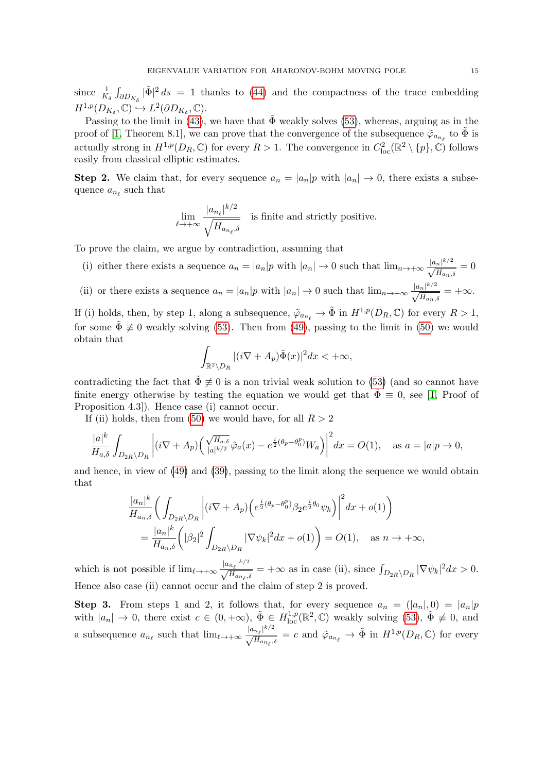since  $\frac{1}{K_{\delta}} \int_{\partial D_{K_{\delta}}} |\tilde{\Phi}|^2 ds = 1$  thanks to [\(44\)](#page-11-4) and the compactness of the trace embedding  $H^{1,p}(D_{K_{\delta}}, \mathbb{C}) \hookrightarrow L^2(\partial D_{K_{\delta}}, \mathbb{C}).$ 

Passing to the limit in [\(43\)](#page-11-5), we have that  $\Phi$  weakly solves [\(53\)](#page-13-0), whereas, arguing as in the proof of [\[1,](#page-23-9) Theorem 8.1], we can prove that the convergence of the subsequence  $\tilde{\varphi}_{a_{n_\ell}}$  to  $\tilde{\Phi}$  is actually strong in  $H^{1,p}(D_R,\mathbb{C})$  for every  $R>1$ . The convergence in  $C^2_{loc}(\mathbb{R}^2 \setminus \{p\},\mathbb{C})$  follows easily from classical elliptic estimates.

**Step 2.** We claim that, for every sequence  $a_n = |a_n|p$  with  $|a_n| \to 0$ , there exists a subsequence  $a_{n_\ell}$  such that

$$
\lim_{\ell \to +\infty} \frac{|a_{n_{\ell}}|^{k/2}}{\sqrt{H_{a_{n_{\ell}},\delta}}}
$$
 is finite and strictly positive.

To prove the claim, we argue by contradiction, assuming that

- (i) either there exists a sequence  $a_n = |a_n|p$  with  $|a_n| \to 0$  such that  $\lim_{n \to +\infty} \frac{|a_n|^{k/2}}{\sqrt{H}}$  $\frac{H_{n+1}}{H_{a_n,\delta}}=0$
- (ii) or there exists a sequence  $a_n = |a_n|p$  with  $|a_n| \to 0$  such that  $\lim_{n \to +\infty} \frac{|a_n|^{k/2}}{\sqrt{n}}$  $\frac{f_{n}f_{n}}{H_{a_{n},\delta}} = +\infty.$

If (i) holds, then, by step 1, along a subsequence,  $\tilde{\varphi}_{a_{n_\ell}} \to \tilde{\Phi}$  in  $H^{1,p}(D_R, \mathbb{C})$  for every  $R > 1$ , for some  $\tilde{\Phi} \neq 0$  weakly solving [\(53\)](#page-13-0). Then from [\(49\)](#page-12-1), passing to the limit in [\(50\)](#page-13-1) we would obtain that

$$
\int_{\mathbb{R}^2 \setminus D_R} |(i\nabla + A_p)\tilde{\Phi}(x)|^2 dx < +\infty,
$$

contradicting the fact that  $\Phi \neq 0$  is a non trivial weak solution to [\(53\)](#page-13-0) (and so cannot have finite energy otherwise by testing the equation we would get that  $\tilde{\Phi} \equiv 0$ , see [\[1,](#page-23-9) Proof of Proposition 4.3]). Hence case (i) cannot occur.

If (ii) holds, then from [\(50\)](#page-13-1) we would have, for all  $R > 2$ 

$$
\frac{|a|^k}{H_{a,\delta}}\int_{D_{2R}\backslash D_R}\left|(i\nabla +A_p)\left(\frac{\sqrt{H_{a,\delta}}}{|a|^{k/2}}\tilde{\varphi}_a(x)-e^{\frac{i}{2}(\theta_p-\theta_0^p)}W_a\right)\right|^2\!dx=O(1), \quad \text{as } a=|a|p\to 0,
$$

and hence, in view of [\(49\)](#page-12-1) and [\(39\)](#page-11-0), passing to the limit along the sequence we would obtain that

$$
\frac{|a_n|^k}{H_{a_n,\delta}} \bigg( \int_{D_{2R} \backslash D_R} \left| (i\nabla + A_p) \left( e^{\frac{i}{2}(\theta_p - \theta_0^p)} \beta_2 e^{\frac{i}{2}\theta_0} \psi_k \right) \right|^2 dx + o(1) \bigg) \n= \frac{|a_n|^k}{H_{a_n,\delta}} \bigg( |\beta_2|^2 \int_{D_{2R} \backslash D_R} |\nabla \psi_k|^2 dx + o(1) \bigg) = O(1), \text{ as } n \to +\infty,
$$

which is not possible if  $\lim_{\ell \to +\infty} \frac{|a_{n_{\ell}}|^{k/2}}{\sqrt{H_{a_{n_{\ell}},\delta}}} = +\infty$  as in case (ii), since  $\int_{D_{2R}\setminus D_R} |\nabla \psi_k|^2 dx > 0$ . Hence also case (ii) cannot occur and the claim of step 2 is proved.

**Step 3.** From steps 1 and 2, it follows that, for every sequence  $a_n = (|a_n|, 0) = |a_n|p$ with  $|a_n| \to 0$ , there exist  $c \in (0, +\infty)$ ,  $\tilde{\Phi} \in H^{1,p}_{loc}(\mathbb{R}^2, \mathbb{C})$  weakly solving  $(53)$ ,  $\tilde{\Phi} \not\equiv 0$ , and a subsequence  $a_{n_\ell}$  such that  $\lim_{\ell \to +\infty} \frac{|a_{n_\ell}|^{k/2}}{\sqrt{H_{a_{n_\ell},\delta}}} = c$  and  $\tilde{\varphi}_{a_{n_\ell}} \to \tilde{\Phi}$  in  $H^{1,p}(D_R, \mathbb{C})$  for every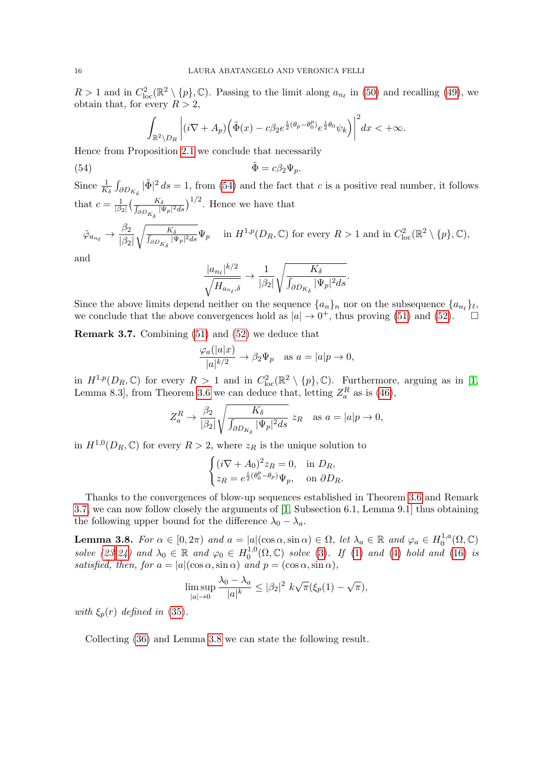$R > 1$  and in  $C_{loc}^2(\mathbb{R}^2 \setminus \{p\}, \mathbb{C})$ . Passing to the limit along  $a_{n_\ell}$  in [\(50\)](#page-13-1) and recalling [\(49\)](#page-12-1), we obtain that, for every  $R > 2$ ,

$$
\int_{\mathbb{R}^2 \setminus D_R} \left| (i \nabla + A_p) \left( \tilde{\Phi}(x) - c \beta_2 e^{\frac{i}{2} (\theta_p - \theta_0^p)} e^{\frac{i}{2} \theta_0} \psi_k \right) \right|^2 dx < +\infty.
$$

Hence from Proposition [2.1](#page-6-3) we conclude that necessarily

(54) 
$$
\tilde{\Phi} = c\beta_2 \Psi_p.
$$

Since  $\frac{1}{K_{\delta}} \int_{\partial D_{K_{\delta}}} |\tilde{\Phi}|^2 ds = 1$ , from [\(54\)](#page-15-0) and the fact that c is a positive real number, it follows that  $c = \frac{1}{18}$  $\frac{1}{|\beta_2|} \Big( \frac{K_\delta}{\int_{\partial D(x)} |x|}$  $\frac{K_{\delta}}{\partial D_{K_{\delta}} |\Psi_p|^2 ds}$ )<sup>1/2</sup>. Hence we have that

$$
\tilde{\varphi}_{a_{n_{\ell}}} \to \frac{\beta_2}{|\beta_2|} \sqrt{\frac{K_{\delta}}{J_{\partial D_{K_{\delta}}}|\Psi_p|^2 ds}} \Psi_p \quad \text{ in } H^{1,p}(D_R, \mathbb{C}) \text{ for every } R > 1 \text{ and in } C^2_{\text{loc}}(\mathbb{R}^2 \setminus \{p\}, \mathbb{C}),
$$

and

<span id="page-15-0"></span>
$$
\frac{|a_{n_\ell}|^{k/2}}{\sqrt{H_{a_{n_\ell},\delta}}} \to \frac{1}{|\beta_2|} \sqrt{\frac{K_\delta}{\int_{\partial D_{K_\delta}} |\Psi_p|^2 ds}}.
$$

Since the above limits depend neither on the sequence  $\{a_n\}_n$  nor on the subsequence  $\{a_{n_\ell}\}_\ell$ , we conclude that the above convergences hold as  $|a| \to 0^+$ , thus proving [\(51\)](#page-13-2) and [\(52\)](#page-13-3).

<span id="page-15-1"></span>Remark 3.7. Combining [\(51\)](#page-13-2) and [\(52\)](#page-13-3) we deduce that

$$
\frac{\varphi_a(|a|x)}{|a|^{k/2}} \to \beta_2 \Psi_p \quad \text{as } a = |a|p \to 0,
$$

in  $H^{1,p}(D_R,\mathbb{C})$  for every  $R > 1$  and in  $C^2_{loc}(\mathbb{R}^2 \setminus \{p\},\mathbb{C})$ . Furthermore, arguing as in [\[1,](#page-23-9) Lemma 8.3, from Theorem [3.6](#page-13-4) we can deduce that, letting  $Z_a^R$  as is [\(46\)](#page-11-6),

$$
Z_a^R \to \frac{\beta_2}{|\beta_2|} \sqrt{\frac{K_\delta}{\int_{\partial D_{K_\delta}} |\Psi_p|^2 ds}} \ z_R \quad \text{as } a = |a|p \to 0,
$$

in  $H^{1,0}(D_R,\mathbb{C})$  for every  $R>2$ , where  $z_R$  is the unique solution to

$$
\begin{cases}\n(i\nabla + A_0)^2 z_R = 0, & \text{in } D_R, \\
z_R = e^{\frac{i}{2}(\theta_0^p - \theta_p)} \Psi_p, & \text{on } \partial D_R.\n\end{cases}
$$

Thanks to the convergences of blow-up sequences established in Theorem [3.6](#page-13-4) and Remark [3.7,](#page-15-1) we can now follow closely the arguments of [\[1,](#page-23-9) Subsection 6.1, Lemma 9.1] thus obtaining the following upper bound for the difference  $\lambda_0 - \lambda_a$ .

<span id="page-15-2"></span>**Lemma 3.8.** For  $\alpha \in [0, 2\pi)$  and  $a = |a|(\cos \alpha, \sin \alpha) \in \Omega$ , let  $\lambda_a \in \mathbb{R}$  and  $\varphi_a \in H_0^{1,a}$  $_{0}^{1,a}(\Omega,\mathbb{C})$ solve [\(23](#page-5-0)[-24\)](#page-6-0) and  $\lambda_0 \in \mathbb{R}$  and  $\varphi_0 \in H_0^{1,0}$  $_{0}^{1,0}(\Omega,\mathbb{C})$  solve [\(3\)](#page-1-3). If [\(1\)](#page-1-0) and [\(4\)](#page-1-4) hold and [\(16\)](#page-4-2) is satisfied, then, for  $a = |a|(\cos \alpha, \sin \alpha)$  and  $p = (\cos \alpha, \sin \alpha)$ ,

$$
\limsup_{|a|\to 0} \frac{\lambda_0 - \lambda_a}{|a|^k} \le |\beta_2|^2 k\sqrt{\pi}(\xi_p(1) - \sqrt{\pi}),
$$

with  $\xi_p(r)$  defined in [\(35\)](#page-9-0).

Collecting [\(36\)](#page-9-2) and Lemma [3.8](#page-15-2) we can state the following result.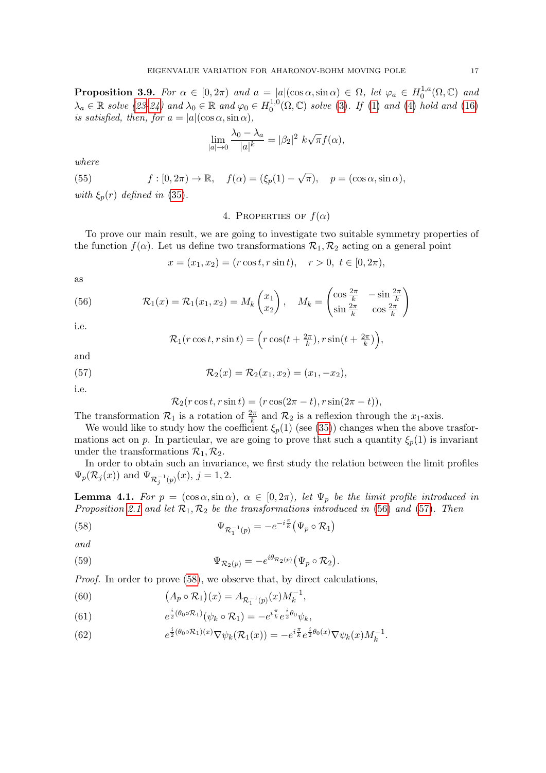<span id="page-16-8"></span>**Proposition 3.9.** For  $\alpha \in [0, 2\pi)$  and  $a = |a|(\cos \alpha, \sin \alpha) \in \Omega$ , let  $\varphi_a \in H_0^{1,a}$  $_{0}^{1,a}(\Omega,\mathbb{C})$  and  $\lambda_a \in \mathbb{R}$  solve [\(23-](#page-5-0)[24\)](#page-6-0) and  $\lambda_0 \in \mathbb{R}$  and  $\varphi_0 \in H_0^{1,0}$  $_{0}^{1,0}(\Omega,\mathbb{C})$  solve [\(3\)](#page-1-3). If [\(1\)](#page-1-0) and [\(4\)](#page-1-4) hold and [\(16\)](#page-4-2) is satisfied, then, for  $a = |a|(\cos \alpha, \sin \alpha)$ ,

$$
\lim_{|a| \to 0} \frac{\lambda_0 - \lambda_a}{|a|^k} = |\beta_2|^2 \ k \sqrt{\pi} f(\alpha),
$$

where

<span id="page-16-7"></span>(55) 
$$
f:[0,2\pi)\to\mathbb{R}
$$
,  $f(\alpha)=(\xi_p(1)-\sqrt{\pi})$ ,  $p=(\cos\alpha,\sin\alpha)$ ,  
with  $\xi$  (*x*) defined in (35)

<span id="page-16-0"></span>with  $\xi_p(r)$  defined in [\(35\)](#page-9-0).

4. PROPERTIES OF  $f(\alpha)$ 

To prove our main result, we are going to investigate two suitable symmetry properties of the function  $f(\alpha)$ . Let us define two transformations  $\mathcal{R}_1, \mathcal{R}_2$  acting on a general point

<span id="page-16-1"></span>
$$
x = (x_1, x_2) = (r \cos t, r \sin t), \quad r > 0, t \in [0, 2\pi),
$$

as

(56) 
$$
\mathcal{R}_1(x) = \mathcal{R}_1(x_1, x_2) = M_k \begin{pmatrix} x_1 \\ x_2 \end{pmatrix}, \quad M_k = \begin{pmatrix} \cos \frac{2\pi}{k} & -\sin \frac{2\pi}{k} \\ \sin \frac{2\pi}{k} & \cos \frac{2\pi}{k} \end{pmatrix}
$$

i.e.

<span id="page-16-2"></span>
$$
\mathcal{R}_1(r\cos t, r\sin t) = \left(r\cos(t + \frac{2\pi}{k}), r\sin(t + \frac{2\pi}{k})\right),\,
$$

and

(57) 
$$
\mathcal{R}_2(x) = \mathcal{R}_2(x_1, x_2) = (x_1, -x_2),
$$

i.e.

<span id="page-16-6"></span>and

<span id="page-16-3"></span>
$$
\mathcal{R}_2(r\cos t, r\sin t) = (r\cos(2\pi - t), r\sin(2\pi - t)),
$$

The transformation  $\mathcal{R}_1$  is a rotation of  $\frac{2\pi}{k}$  and  $\mathcal{R}_2$  is a reflexion through the  $x_1$ -axis.

We would like to study how the coefficient  $\xi_p(1)$  (see [\(35\)](#page-9-0)) changes when the above trasformations act on p. In particular, we are going to prove that such a quantity  $\xi_p(1)$  is invariant under the transformations  $\mathcal{R}_1, \mathcal{R}_2$ .

In order to obtain such an invariance, we first study the relation between the limit profiles  $\Psi_p(\mathcal{R}_j(x))$  and  $\Psi_{\mathcal{R}_j^{-1}(p)}(x), j = 1, 2$ .

**Lemma 4.1.** For  $p = (\cos \alpha, \sin \alpha)$ ,  $\alpha \in [0, 2\pi)$ , let  $\Psi_p$  be the limit profile introduced in Proposition [2.1](#page-6-3) and let  $\mathcal{R}_1, \mathcal{R}_2$  be the transformations introduced in [\(56\)](#page-16-1) and [\(57\)](#page-16-2). Then

(58) 
$$
\Psi_{\mathcal{R}_1^{-1}(p)} = -e^{-i\frac{\pi}{k}} \big( \Psi_p \circ \mathcal{R}_1 \big)
$$

(59) 
$$
\Psi_{\mathcal{R}_2(p)} = -e^{i\theta_{\mathcal{R}_2(p)}} (\Psi_p \circ \mathcal{R}_2).
$$

Proof. In order to prove  $(58)$ , we observe that, by direct calculations,

<span id="page-16-4"></span>(60) 
$$
(A_p \circ \mathcal{R}_1)(x) = A_{\mathcal{R}_1^{-1}(p)}(x)M_k^{-1},
$$

(61) 
$$
e^{\frac{i}{2}(\theta_0 \circ \mathcal{R}_1)}(\psi_k \circ \mathcal{R}_1) = -e^{i\frac{\pi}{k}}e^{\frac{i}{2}\theta_0}\psi_k,
$$

<span id="page-16-5"></span>(62) 
$$
e^{\frac{i}{2}(\theta_0 \circ \mathcal{R}_1)(x)} \nabla \psi_k(\mathcal{R}_1(x)) = -e^{i\frac{\pi}{k}} e^{\frac{i}{2}\theta_0(x)} \nabla \psi_k(x) M_k^{-1}.
$$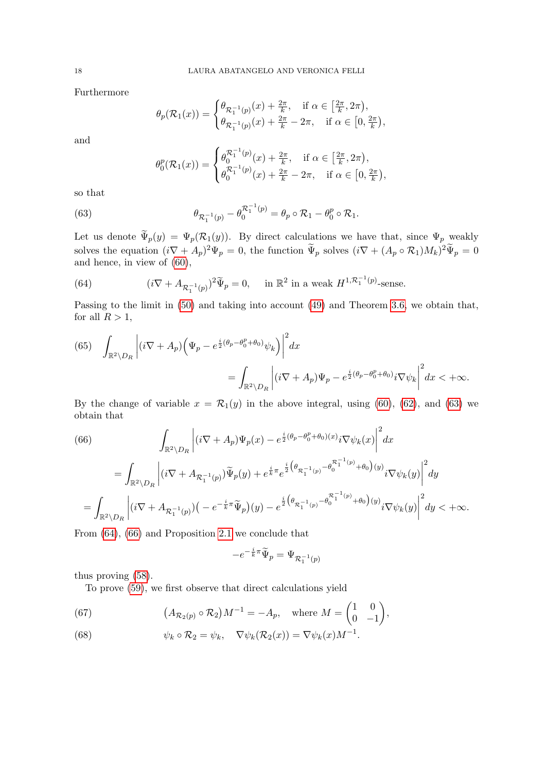Furthermore

$$
\theta_p(\mathcal{R}_1(x)) = \begin{cases} \theta_{\mathcal{R}_1^{-1}(p)}(x) + \frac{2\pi}{k}, & \text{if } \alpha \in \left[\frac{2\pi}{k}, 2\pi\right), \\ \theta_{\mathcal{R}_1^{-1}(p)}(x) + \frac{2\pi}{k} - 2\pi, & \text{if } \alpha \in \left[0, \frac{2\pi}{k}\right), \end{cases}
$$

and

<span id="page-17-0"></span>
$$
\theta_0^p(\mathcal{R}_1(x)) = \begin{cases} \theta_0^{\mathcal{R}_1^{-1}(p)}(x) + \frac{2\pi}{k}, & \text{if } \alpha \in \left[\frac{2\pi}{k}, 2\pi\right), \\ \theta_0^{\mathcal{R}_1^{-1}(p)}(x) + \frac{2\pi}{k} - 2\pi, & \text{if } \alpha \in \left[0, \frac{2\pi}{k}\right), \end{cases}
$$

so that

(63) 
$$
\theta_{\mathcal{R}_1^{-1}(p)} - \theta_0^{\mathcal{R}_1^{-1}(p)} = \theta_p \circ \mathcal{R}_1 - \theta_0^p \circ \mathcal{R}_1.
$$

Let us denote  $\Psi_p(y) = \Psi_p(\mathcal{R}_1(y))$ . By direct calculations we have that, since  $\Psi_p$  weakly solves the equation  $(i\nabla + A_p)^2 \Psi_p = 0$ , the function  $\tilde{\Psi}_p$  solves  $(i\nabla + (A_p \circ R_1)M_k)^2 \tilde{\Psi}_p = 0$ and hence, in view of [\(60\)](#page-16-4),

<span id="page-17-1"></span>(64) 
$$
(i\nabla + A_{\mathcal{R}_1^{-1}(p)})^2 \widetilde{\Psi}_p = 0, \quad \text{in } \mathbb{R}^2 \text{ in a weak } H^{1, \mathcal{R}_1^{-1}(p)}\text{-sense.}
$$

Passing to the limit in [\(50\)](#page-13-1) and taking into account [\(49\)](#page-12-1) and Theorem [3.6,](#page-13-4) we obtain that, for all  $R > 1$ ,

<span id="page-17-4"></span>(65) 
$$
\int_{\mathbb{R}^2 \setminus D_R} \left| (i \nabla + A_p) \left( \Psi_p - e^{\frac{i}{2} (\theta_p - \theta_0^p + \theta_0)} \psi_k \right) \right|^2 dx
$$
  

$$
= \int_{\mathbb{R}^2 \setminus D_R} \left| (i \nabla + A_p) \Psi_p - e^{\frac{i}{2} (\theta_p - \theta_0^p + \theta_0)} i \nabla \psi_k \right|^2 dx < +\infty.
$$

By the change of variable  $x = \mathcal{R}_1(y)$  in the above integral, using [\(60\)](#page-16-4), [\(62\)](#page-16-5), and [\(63\)](#page-17-0) we obtain that

<span id="page-17-2"></span>(66)  

$$
\int_{\mathbb{R}^2 \setminus D_R} \left| (i\nabla + A_p) \Psi_p(x) - e^{\frac{i}{2}(\theta_p - \theta_0^p + \theta_0)(x)} i \nabla \psi_k(x) \right|^2 dx
$$

$$
= \int_{\mathbb{R}^2 \setminus D_R} \left| (i\nabla + A_{\mathcal{R}_1^{-1}(p)}) \widetilde{\Psi}_p(y) + e^{\frac{i}{k}\pi} e^{\frac{i}{2}(\theta_{\mathcal{R}_1^{-1}(p)} - \theta_0^{\mathcal{R}_1^{-1}(p)} + \theta_0)(y)} i \nabla \psi_k(y) \right|^2 dy
$$

$$
= \int_{\mathbb{R}^2 \setminus D_R} \left| (i\nabla + A_{\mathcal{R}_1^{-1}(p)})(-e^{-\frac{i}{k}\pi} \widetilde{\Psi}_p)(y) - e^{\frac{i}{2}(\theta_{\mathcal{R}_1^{-1}(p)} - \theta_0^{\mathcal{R}_1^{-1}(p)} + \theta_0)(y)} i \nabla \psi_k(y) \right|^2 dy < +\infty.
$$

From [\(64\)](#page-17-1), [\(66\)](#page-17-2) and Proposition [2.1](#page-6-3) we conclude that

$$
-e^{-\frac{i}{k}\pi}\widetilde{\Psi}_p=\Psi_{\mathcal{R}_1^{-1}(p)}
$$

thus proving [\(58\)](#page-16-3).

To prove [\(59\)](#page-16-6), we first observe that direct calculations yield

<span id="page-17-3"></span>(67) 
$$
(A_{\mathcal{R}_2(p)} \circ \mathcal{R}_2)M^{-1} = -A_p
$$
, where  $M = \begin{pmatrix} 1 & 0 \\ 0 & -1 \end{pmatrix}$ ,

<span id="page-17-5"></span>(68) 
$$
\psi_k \circ \mathcal{R}_2 = \psi_k, \quad \nabla \psi_k(\mathcal{R}_2(x)) = \nabla \psi_k(x) M^{-1}.
$$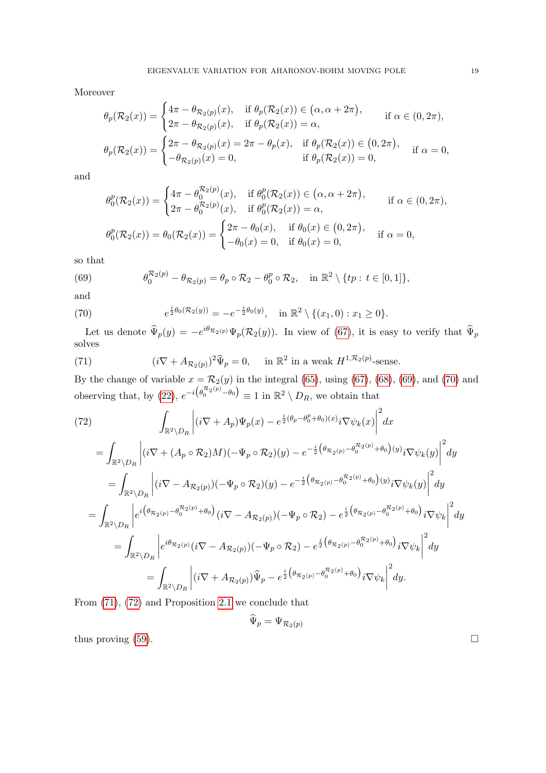Moreover

$$
\theta_p(\mathcal{R}_2(x)) = \begin{cases}\n4\pi - \theta_{\mathcal{R}_2(p)}(x), & \text{if } \theta_p(\mathcal{R}_2(x)) \in (\alpha, \alpha + 2\pi), \\
2\pi - \theta_{\mathcal{R}_2(p)}(x), & \text{if } \theta_p(\mathcal{R}_2(x)) = \alpha,\n\end{cases}
$$
\n
$$
\theta_p(\mathcal{R}_2(x)) = \begin{cases}\n2\pi - \theta_{\mathcal{R}_2(p)}(x) = 2\pi - \theta_p(x), & \text{if } \theta_p(\mathcal{R}_2(x)) \in (0, 2\pi), \\
-\theta_{\mathcal{R}_2(p)}(x) = 0, & \text{if } \theta_p(\mathcal{R}_2(x)) = 0,\n\end{cases}
$$
\n
$$
\text{if } \alpha = 0,
$$

and

$$
\theta_0^p(\mathcal{R}_2(x)) = \begin{cases} 4\pi - \theta_0^{\mathcal{R}_2(p)}(x), & \text{if } \theta_0^p(\mathcal{R}_2(x)) \in (\alpha, \alpha + 2\pi), \\ 2\pi - \theta_0^{\mathcal{R}_2(p)}(x), & \text{if } \theta_0^p(\mathcal{R}_2(x)) = \alpha, \end{cases} \quad \text{if } \alpha \in (0, 2\pi),
$$
  

$$
\theta_0^p(\mathcal{R}_2(x)) = \theta_0(\mathcal{R}_2(x)) = \begin{cases} 2\pi - \theta_0(x), & \text{if } \theta_0(x) \in (0, 2\pi), \\ -\theta_0(x) = 0, & \text{if } \theta_0(x) = 0, \end{cases} \quad \text{if } \alpha = 0,
$$

so that

<span id="page-18-0"></span>(69) 
$$
\theta_0^{\mathcal{R}_2(p)} - \theta_{\mathcal{R}_2(p)} = \theta_p \circ \mathcal{R}_2 - \theta_0^p \circ \mathcal{R}_2, \quad \text{in } \mathbb{R}^2 \setminus \{tp : t \in [0,1]\},
$$

and

<span id="page-18-1"></span>(70) 
$$
e^{\frac{i}{2}\theta_0(\mathcal{R}_2(y))} = -e^{-\frac{i}{2}\theta_0(y)}, \text{ in } \mathbb{R}^2 \setminus \{(x_1, 0) : x_1 \geq 0\}.
$$

Let us denote  $\widehat{\Psi}_p(y) = -e^{i\theta_{\mathcal{R}_2(p)}} \Psi_p(\mathcal{R}_2(y))$ . In view of [\(67\)](#page-17-3), it is easy to verify that  $\widehat{\Psi}_p$ solves

<span id="page-18-2"></span>(71) 
$$
(i\nabla + A_{\mathcal{R}_2(p)})^2 \widehat{\Psi}_p = 0, \quad \text{in } \mathbb{R}^2 \text{ in a weak } H^{1,\mathcal{R}_2(p)}\text{-sense.}
$$

By the change of variable  $x = \mathcal{R}_2(y)$  in the integral [\(65\)](#page-17-4), using [\(67\)](#page-17-3), [\(68\)](#page-17-5), [\(69\)](#page-18-0), and [\(70\)](#page-18-1) and observing that, by [\(22\)](#page-5-3),  $e^{-i(\theta_0^{\mathcal{R}_2(p)}-\theta_0)} \equiv 1$  in  $\mathbb{R}^2 \setminus D_R$ , we obtain that

<span id="page-18-3"></span>(72)  
\n
$$
\int_{\mathbb{R}^2 \setminus D_R} \left| (i\nabla + A_p) \Psi_p(x) - e^{\frac{i}{2}(\theta_p - \theta_0^p + \theta_0)(x)} i\nabla \psi_k(x) \right|^2 dx
$$
\n
$$
= \int_{\mathbb{R}^2 \setminus D_R} \left| (i\nabla + (A_p \circ \mathcal{R}_2)M)(-\Psi_p \circ \mathcal{R}_2)(y) - e^{-\frac{i}{2}(\theta_{\mathcal{R}_2(p)} - \theta_0^{\mathcal{R}_2(p)} + \theta_0)(y)} i\nabla \psi_k(y) \right|^2 dy
$$
\n
$$
= \int_{\mathbb{R}^2 \setminus D_R} \left| (i\nabla - A_{\mathcal{R}_2(p)})(-\Psi_p \circ \mathcal{R}_2)(y) - e^{-\frac{i}{2}(\theta_{\mathcal{R}_2(p)} - \theta_0^{\mathcal{R}_2(p)} + \theta_0)(y)} i\nabla \psi_k(y) \right|^2 dy
$$
\n
$$
= \int_{\mathbb{R}^2 \setminus D_R} \left| e^{i(\theta_{\mathcal{R}_2(p)} - \theta_0^{\mathcal{R}_2(p)} + \theta_0)} (i\nabla - A_{\mathcal{R}_2(p)})(-\Psi_p \circ \mathcal{R}_2) - e^{\frac{i}{2}(\theta_{\mathcal{R}_2(p)} - \theta_0^{\mathcal{R}_2(p)} + \theta_0)} i\nabla \psi_k \right|^2 dy
$$
\n
$$
= \int_{\mathbb{R}^2 \setminus D_R} \left| e^{i\theta_{\mathcal{R}_2(p)}} (i\nabla - A_{\mathcal{R}_2(p)})(-\Psi_p \circ \mathcal{R}_2) - e^{\frac{i}{2}(\theta_{\mathcal{R}_2(p)} - \theta_0^{\mathcal{R}_2(p)} + \theta_0)} i\nabla \psi_k \right|^2 dy
$$
\n
$$
= \int_{\mathbb{R}^2 \setminus D_R} \left| (i\nabla + A_{\mathcal{R}_2(p)}) \hat{\Psi}_p - e^{\frac{i}{2}(\theta_{\mathcal{R}_2(p)} - \theta_0^{\mathcal{R}_2(p)} + \theta_0)} i\nabla \psi_k \right|^2 dy.
$$

From [\(71\)](#page-18-2), [\(72\)](#page-18-3) and Proposition [2.1](#page-6-3) we conclude that

$$
\Psi_p = \Psi_{\mathcal{R}_2(p)}
$$

thus proving  $(59)$ .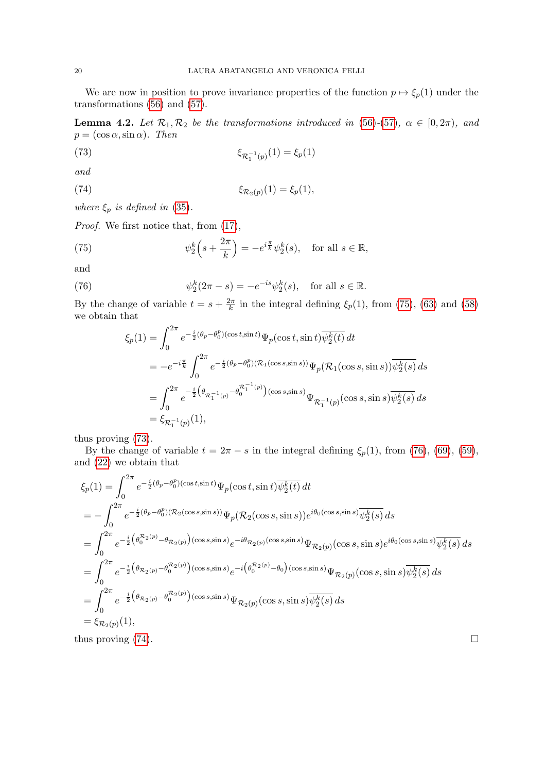We are now in position to prove invariance properties of the function  $p \mapsto \xi_p(1)$  under the transformations [\(56\)](#page-16-1) and [\(57\)](#page-16-2).

<span id="page-19-4"></span>**Lemma 4.2.** Let  $\mathcal{R}_1, \mathcal{R}_2$  be the transformations introduced in [\(56\)](#page-16-1)-[\(57\)](#page-16-2),  $\alpha \in [0, 2\pi)$ , and  $p = (\cos \alpha, \sin \alpha)$ . Then

<span id="page-19-1"></span>(73) 
$$
\xi_{\mathcal{R}_1^{-1}(p)}(1) = \xi_p(1)
$$

and

<span id="page-19-3"></span>(74) 
$$
\xi_{\mathcal{R}_2(p)}(1) = \xi_p(1),
$$

where  $\xi_p$  is defined in [\(35\)](#page-9-0).

Proof. We first notice that, from [\(17\)](#page-4-3),

(75) 
$$
\psi_2^k\left(s+\frac{2\pi}{k}\right) = -e^{i\frac{\pi}{k}}\psi_2^k(s), \text{ for all } s \in \mathbb{R},
$$

and

(76) 
$$
\psi_2^k(2\pi - s) = -e^{-is}\psi_2^k(s), \text{ for all } s \in \mathbb{R}.
$$

By the change of variable  $t = s + \frac{2\pi}{k}$  $\frac{2\pi}{k}$  in the integral defining  $\xi_p(1)$ , from [\(75\)](#page-19-0), [\(63\)](#page-17-0) and [\(58\)](#page-16-3) we obtain that

<span id="page-19-2"></span><span id="page-19-0"></span>
$$
\xi_p(1) = \int_0^{2\pi} e^{-\frac{i}{2}(\theta_p - \theta_0^p)(\cos t, \sin t)} \Psi_p(\cos t, \sin t) \overline{\psi_2^k(t)} dt
$$
  
\n
$$
= -e^{-i\frac{\pi}{k}} \int_0^{2\pi} e^{-\frac{i}{2}(\theta_p - \theta_0^p)(\mathcal{R}_1(\cos s, \sin s))} \Psi_p(\mathcal{R}_1(\cos s, \sin s)) \overline{\psi_2^k(s)} ds
$$
  
\n
$$
= \int_0^{2\pi} e^{-\frac{i}{2}(\theta_{\mathcal{R}_1^{-1}(p)} - \theta_0^{\mathcal{R}_1^{-1}(p)})(\cos s, \sin s)} \Psi_{\mathcal{R}_1^{-1}(p)}(\cos s, \sin s) \overline{\psi_2^k(s)} ds
$$
  
\n
$$
= \xi_{\mathcal{R}_1^{-1}(p)}(1),
$$

thus proving [\(73\)](#page-19-1).

By the change of variable  $t = 2\pi - s$  in the integral defining  $\xi_p(1)$ , from [\(76\)](#page-19-2), [\(69\)](#page-18-0), [\(59\)](#page-16-6), and [\(22\)](#page-5-3) we obtain that

$$
\xi_{p}(1) = \int_{0}^{2\pi} e^{-\frac{i}{2}(\theta_{p}-\theta_{0}^{p})(\cos t, \sin t)} \Psi_{p}(\cos t, \sin t) \overline{\psi_{2}^{k}(t)} dt \n= -\int_{0}^{2\pi} e^{-\frac{i}{2}(\theta_{p}-\theta_{0}^{p})(\mathcal{R}_{2}(\cos s, \sin s))} \Psi_{p}(\mathcal{R}_{2}(\cos s, \sin s)) e^{i\theta_{0}(\cos s, \sin s)} \overline{\psi_{2}^{k}(s)} ds \n= \int_{0}^{2\pi} e^{-\frac{i}{2}(\theta_{0}^{R_{2}(p)} - \theta_{R_{2}(p)})(\cos s, \sin s)} e^{-i\theta_{R_{2}(p)}(\cos s, \sin s)} \Psi_{\mathcal{R}_{2}(p)}(\cos s, \sin s) e^{i\theta_{0}(\cos s, \sin s)} \overline{\psi_{2}^{k}(s)} ds \n= \int_{0}^{2\pi} e^{-\frac{i}{2}(\theta_{R_{2}(p)} - \theta_{0}^{R_{2}(p)})(\cos s, \sin s)} e^{-i(\theta_{0}^{R_{2}(p)} - \theta_{0})(\cos s, \sin s)} \Psi_{\mathcal{R}_{2}(p)}(\cos s, \sin s) \overline{\psi_{2}^{k}(s)} ds \n= \int_{0}^{2\pi} e^{-\frac{i}{2}(\theta_{R_{2}(p)} - \theta_{0}^{R_{2}(p)})(\cos s, \sin s)} \Psi_{\mathcal{R}_{2}(p)}(\cos s, \sin s) \overline{\psi_{2}^{k}(s)} ds \n= \xi_{\mathcal{R}_{2}(p)}(1),
$$

thus proving  $(74)$ .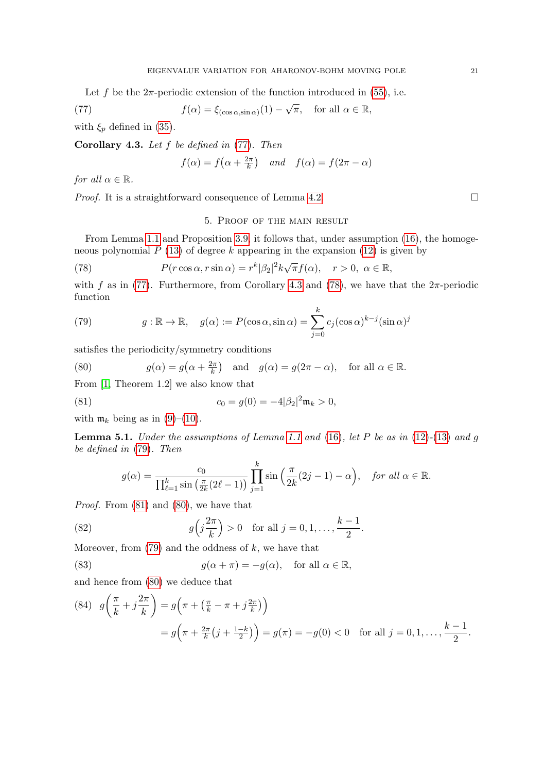Let f be the  $2\pi$ -periodic extension of the function introduced in [\(55\)](#page-16-7), i.e.

(77) 
$$
f(\alpha) = \xi_{(\cos \alpha, \sin \alpha)}(1) - \sqrt{\pi}, \text{ for all } \alpha \in \mathbb{R},
$$

with  $\xi_p$  defined in [\(35\)](#page-9-0).

<span id="page-20-2"></span>Corollary 4.3. Let  $f$  be defined in  $(77)$ . Then

<span id="page-20-1"></span>
$$
f(\alpha) = f(\alpha + \frac{2\pi}{k})
$$
 and  $f(\alpha) = f(2\pi - \alpha)$ 

for all  $\alpha \in \mathbb{R}$ .

<span id="page-20-0"></span>*Proof.* It is a straightforward consequence of Lemma [4.2.](#page-19-4)

### <span id="page-20-3"></span>5. Proof of the main result

From Lemma [1.1](#page-2-1) and Proposition [3.9,](#page-16-8) it follows that, under assumption [\(16\)](#page-4-2), the homogeneous polynomial  $P(13)$  $P(13)$  of degree k appearing in the expansion  $(12)$  is given by

(78) 
$$
P(r \cos \alpha, r \sin \alpha) = r^k |\beta_2|^2 k \sqrt{\pi} f(\alpha), \quad r > 0, \ \alpha \in \mathbb{R},
$$

with f as in [\(77\)](#page-20-1). Furthermore, from Corollary [4.3](#page-20-2) and [\(78\)](#page-20-3), we have that the  $2\pi$ -periodic function

<span id="page-20-4"></span>(79) 
$$
g: \mathbb{R} \to \mathbb{R}, \quad g(\alpha) := P(\cos \alpha, \sin \alpha) = \sum_{j=0}^{k} c_j (\cos \alpha)^{k-j} (\sin \alpha)^j
$$

satisfies the periodicity/symmetry conditions

<span id="page-20-6"></span>(80) 
$$
g(\alpha) = g(\alpha + \frac{2\pi}{k})
$$
 and  $g(\alpha) = g(2\pi - \alpha)$ , for all  $\alpha \in \mathbb{R}$ .

From [\[1,](#page-23-9) Theorem 1.2] we also know that

(81) 
$$
c_0 = g(0) = -4|\beta_2|^2 \mathfrak{m}_k > 0,
$$

with  $\mathfrak{m}_k$  being as in [\(9\)](#page-2-5)–[\(10\)](#page-2-6).

<span id="page-20-10"></span>**Lemma 5.1.** Under the assumptions of Lemma [1.1](#page-2-1) and [\(16\)](#page-4-2), let P be as in  $(12)-(13)$  $(12)-(13)$  $(12)-(13)$  and q be defined in [\(79\)](#page-20-4). Then

<span id="page-20-5"></span>
$$
g(\alpha) = \frac{c_0}{\prod_{\ell=1}^k \sin\left(\frac{\pi}{2k}(2\ell-1)\right)} \prod_{j=1}^k \sin\left(\frac{\pi}{2k}(2j-1) - \alpha\right), \quad \text{for all } \alpha \in \mathbb{R}.
$$

Proof. From [\(81\)](#page-20-5) and [\(80\)](#page-20-6), we have that

(82) 
$$
g(j\frac{2\pi}{k}) > 0
$$
 for all  $j = 0, 1, ..., \frac{k-1}{2}$ .

Moreover, from  $(79)$  and the oddness of k, we have that

(83) 
$$
g(\alpha + \pi) = -g(\alpha), \text{ for all } \alpha \in \mathbb{R},
$$

and hence from [\(80\)](#page-20-6) we deduce that

<span id="page-20-9"></span><span id="page-20-7"></span>2π

 $\mathcal{L}$ 

<span id="page-20-8"></span>(84) 
$$
g\left(\frac{\pi}{k} + j\frac{2\pi}{k}\right) = g\left(\pi + \left(\frac{\pi}{k} - \pi + j\frac{2\pi}{k}\right)\right)
$$

$$
= g\left(\pi + \frac{2\pi}{k}\left(j + \frac{1-k}{2}\right)\right) = g(\pi) = -g(0) < 0 \text{ for all } j = 0, 1, ..., \frac{k-1}{2}.
$$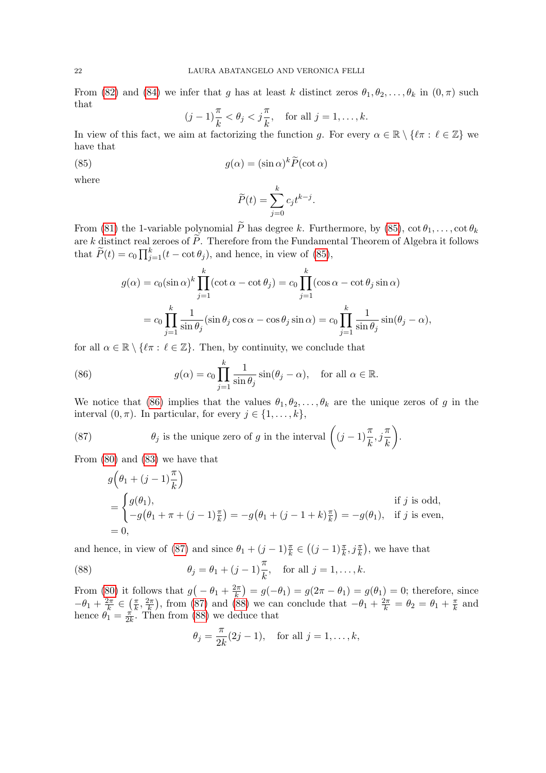From [\(82\)](#page-20-7) and [\(84\)](#page-20-8) we infer that g has at least k distinct zeros  $\theta_1, \theta_2, \ldots, \theta_k$  in  $(0, \pi)$  such that

$$
(j-1)\frac{\pi}{k} < \theta_j < j\frac{\pi}{k}
$$
, for all  $j = 1, ..., k$ .

In view of this fact, we aim at factorizing the function g. For every  $\alpha \in \mathbb{R} \setminus \{ \ell \pi : \ell \in \mathbb{Z} \}$  we have that

(85) 
$$
g(\alpha) = (\sin \alpha)^k \widetilde{P}(\cot \alpha)
$$

where

<span id="page-21-0"></span>
$$
\widetilde{P}(t) = \sum_{j=0}^{k} c_j t^{k-j}.
$$

From [\(81\)](#page-20-5) the 1-variable polynomial  $\widetilde{P}$  has degree k. Furthermore, by [\(85\)](#page-21-0),  $\cot \theta_1, \ldots, \cot \theta_k$ are k distinct real zeroes of  $\widetilde{P}$ . Therefore from the Fundamental Theorem of Algebra it follows that  $\widetilde{P}(t) = c_0 \prod_{j=1}^k (t - \cot \theta_j)$ , and hence, in view of [\(85\)](#page-21-0),

$$
g(\alpha) = c_0 (\sin \alpha)^k \prod_{j=1}^k (\cot \alpha - \cot \theta_j) = c_0 \prod_{j=1}^k (\cos \alpha - \cot \theta_j \sin \alpha)
$$
  
= 
$$
c_0 \prod_{j=1}^k \frac{1}{\sin \theta_j} (\sin \theta_j \cos \alpha - \cos \theta_j \sin \alpha) = c_0 \prod_{j=1}^k \frac{1}{\sin \theta_j} \sin(\theta_j - \alpha),
$$

for all  $\alpha \in \mathbb{R} \setminus \{ \ell \pi : \ell \in \mathbb{Z} \}.$  Then, by continuity, we conclude that

<span id="page-21-1"></span>(86) 
$$
g(\alpha) = c_0 \prod_{j=1}^{k} \frac{1}{\sin \theta_j} \sin(\theta_j - \alpha), \text{ for all } \alpha \in \mathbb{R}.
$$

We notice that [\(86\)](#page-21-1) implies that the values  $\theta_1, \theta_2, \ldots, \theta_k$  are the unique zeros of g in the interval  $(0, \pi)$ . In particular, for every  $j \in \{1, ..., k\}$ ,

(87) 
$$
\theta_j
$$
 is the unique zero of g in the interval  $\left( (j-1) \frac{\pi}{k}, j \frac{\pi}{k} \right)$ .

From [\(80\)](#page-20-6) and [\(83\)](#page-20-9) we have that

<span id="page-21-2"></span>
$$
g\left(\theta_1 + (j-1)\frac{\pi}{k}\right)
$$
  
=  $\begin{cases} g(\theta_1), & \text{if } j \text{ is odd,} \\ -g(\theta_1 + \pi + (j-1)\frac{\pi}{k}) = -g(\theta_1 + (j-1+k)\frac{\pi}{k}) = -g(\theta_1), & \text{if } j \text{ is even,} \end{cases}$   
= 0,

and hence, in view of [\(87\)](#page-21-2) and since  $\theta_1 + (j-1)\frac{\pi}{k} \in ((j-1)\frac{\pi}{k}, j\frac{\pi}{k})$ , we have that

(88) 
$$
\theta_j = \theta_1 + (j-1)\frac{\pi}{k}
$$
, for all  $j = 1, ..., k$ .

From [\(80\)](#page-20-6) it follows that  $g(-\theta_1 + \frac{2\pi}{k})$  $(\frac{2\pi}{k}) = g(-\theta_1) = g(2\pi - \theta_1) = g(\theta_1) = 0$ ; therefore, since  $-\theta_1 + \frac{2\pi}{k}$  $\frac{2\pi}{k} \in \left(\frac{\pi}{k}\right)$  $\frac{\pi}{k}, \frac{2\pi}{k}$  $(\frac{2\pi}{k})$ , from [\(87\)](#page-21-2) and [\(88\)](#page-21-3) we can conclude that  $-\theta_1 + \frac{2\pi}{k} = \theta_2 = \theta_1 + \frac{\pi}{k}$  $\frac{\pi}{k}$  and hence  $\theta_1 = \frac{\pi}{2l}$  $\frac{\pi}{2k}$ . Then from [\(88\)](#page-21-3) we deduce that

<span id="page-21-3"></span>
$$
\theta_j = \frac{\pi}{2k}(2j-1)
$$
, for all  $j = 1, ..., k$ ,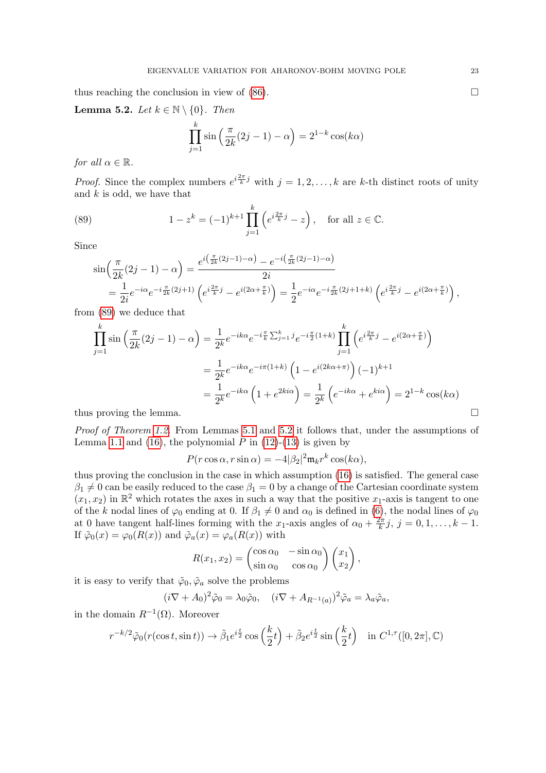thus reaching the conclusion in view of  $(86)$ .

<span id="page-22-1"></span>**Lemma 5.2.** Let  $k \in \mathbb{N} \setminus \{0\}$ . Then

$$
\prod_{j=1}^{k} \sin\left(\frac{\pi}{2k}(2j-1) - \alpha\right) = 2^{1-k} \cos(k\alpha)
$$

for all  $\alpha \in \mathbb{R}$ .

*Proof.* Since the complex numbers  $e^{i\frac{2\pi}{k}j}$  with  $j = 1, 2, ..., k$  are k-th distinct roots of unity and  $k$  is odd, we have that

(89) 
$$
1 - z^{k} = (-1)^{k+1} \prod_{j=1}^{k} \left( e^{i \frac{2\pi}{k} j} - z \right), \text{ for all } z \in \mathbb{C}.
$$

Since

<span id="page-22-0"></span>
$$
\sin\left(\frac{\pi}{2k}(2j-1) - \alpha\right) = \frac{e^{i\left(\frac{\pi}{2k}(2j-1) - \alpha\right)} - e^{-i\left(\frac{\pi}{2k}(2j-1) - \alpha\right)}}{2i}
$$
\n
$$
= \frac{1}{2i}e^{-i\alpha}e^{-i\frac{\pi}{2k}(2j+1)}\left(e^{i\frac{2\pi}{k}j} - e^{i(2\alpha + \frac{\pi}{k})}\right) = \frac{1}{2}e^{-i\alpha}e^{-i\frac{\pi}{2k}(2j+1+k)}\left(e^{i\frac{2\pi}{k}j} - e^{i(2\alpha + \frac{\pi}{k})}\right),
$$
\n(88)

from [\(89\)](#page-22-0) we deduce that

$$
\prod_{j=1}^{k} \sin\left(\frac{\pi}{2k}(2j-1) - \alpha\right) = \frac{1}{2^{k}} e^{-ik\alpha} e^{-i\frac{\pi}{k} \sum_{j=1}^{k} j} e^{-i\frac{\pi}{2}(1+k)} \prod_{j=1}^{k} \left(e^{i\frac{2\pi}{k}j} - e^{i(2\alpha + \frac{\pi}{k})}\right)
$$
\n
$$
= \frac{1}{2^{k}} e^{-ik\alpha} e^{-i\pi(1+k)} \left(1 - e^{i(2k\alpha + \pi)}\right) (-1)^{k+1}
$$
\n
$$
= \frac{1}{2^{k}} e^{-ik\alpha} \left(1 + e^{2ki\alpha}\right) = \frac{1}{2^{k}} \left(e^{-ik\alpha} + e^{ki\alpha}\right) = 2^{1-k} \cos(k\alpha)
$$
\nthus proving the lemma.

Proof of Theorem [1.2.](#page-3-1) From Lemmas [5.1](#page-20-10) and [5.2](#page-22-1) it follows that, under the assumptions of Lemma [1.1](#page-2-1) and [\(16\)](#page-4-2), the polynomial  $P$  in [\(12\)](#page-2-3)-[\(13\)](#page-3-2) is given by

$$
P(r\cos\alpha, r\sin\alpha) = -4|\beta_2|^2 \mathfrak{m}_k r^k \cos(k\alpha),
$$

thus proving the conclusion in the case in which assumption [\(16\)](#page-4-2) is satisfied. The general case  $\beta_1 \neq 0$  can be easily reduced to the case  $\beta_1 = 0$  by a change of the Cartesian coordinate system  $(x_1, x_2)$  in  $\mathbb{R}^2$  which rotates the axes in such a way that the positive  $x_1$ -axis is tangent to one of the k nodal lines of  $\varphi_0$  ending at 0. If  $\beta_1 \neq 0$  and  $\alpha_0$  is defined in [\(6\)](#page-1-5), the nodal lines of  $\varphi_0$ at 0 have tangent half-lines forming with the x<sub>1</sub>-axis angles of  $\alpha_0 + \frac{2\pi}{k}$  $\frac{2\pi}{k}j, j = 0, 1, \ldots, k-1.$ If  $\tilde{\varphi}_0(x) = \varphi_0(R(x))$  and  $\tilde{\varphi}_a(x) = \varphi_a(R(x))$  with

$$
R(x_1, x_2) = \begin{pmatrix} \cos \alpha_0 & -\sin \alpha_0 \\ \sin \alpha_0 & \cos \alpha_0 \end{pmatrix} \begin{pmatrix} x_1 \\ x_2 \end{pmatrix},
$$

it is easy to verify that  $\tilde{\varphi}_0, \tilde{\varphi}_a$  solve the problems

$$
(i\nabla + A_0)^2 \tilde{\varphi}_0 = \lambda_0 \tilde{\varphi}_0, \quad (i\nabla + A_{R^{-1}(a)})^2 \tilde{\varphi}_a = \lambda_a \tilde{\varphi}_a,
$$

in the domain  $R^{-1}(\Omega)$ . Moreover

$$
r^{-k/2}\tilde{\varphi}_0(r(\cos t, \sin t)) \to \tilde{\beta}_1 e^{i\frac{t}{2}} \cos\left(\frac{k}{2}t\right) + \tilde{\beta}_2 e^{i\frac{t}{2}} \sin\left(\frac{k}{2}t\right) \quad \text{in } C^{1,\tau}([0,2\pi], \mathbb{C})
$$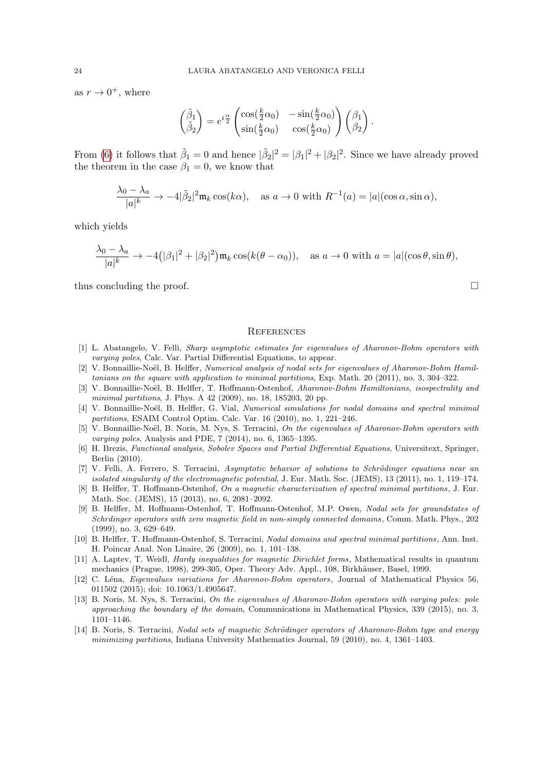as  $r \to 0^+$ , where

$$
\begin{pmatrix}\n\tilde{\beta}_1 \\
\tilde{\beta}_2\n\end{pmatrix} = e^{i\frac{\alpha}{2}} \begin{pmatrix}\n\cos(\frac{k}{2}\alpha_0) & -\sin(\frac{k}{2}\alpha_0) \\
\sin(\frac{k}{2}\alpha_0) & \cos(\frac{k}{2}\alpha_0)\n\end{pmatrix} \begin{pmatrix}\n\beta_1 \\
\beta_2\n\end{pmatrix}.
$$

From [\(6\)](#page-1-5) it follows that  $\tilde{\beta}_1 = 0$  and hence  $|\tilde{\beta}_2|^2 = |\beta_1|^2 + |\beta_2|^2$ . Since we have already proved the theorem in the case  $\beta_1 = 0$ , we know that

$$
\frac{\lambda_0 - \lambda_a}{|a|^k} \to -4|\tilde{\beta}_2|^2 \mathfrak{m}_k \cos(k\alpha), \quad \text{as } a \to 0 \text{ with } R^{-1}(a) = |a|(\cos \alpha, \sin \alpha),
$$

which yields

$$
\frac{\lambda_0 - \lambda_a}{|a|^k} \to -4(|\beta_1|^2 + |\beta_2|^2) \mathfrak{m}_k \cos(k(\theta - \alpha_0)), \quad \text{as } a \to 0 \text{ with } a = |a|(\cos \theta, \sin \theta),
$$

thus concluding the proof.  $\Box$ 

### **REFERENCES**

- <span id="page-23-9"></span>[1] L. Abatangelo, V. Felli, Sharp asymptotic estimates for eigenvalues of Aharonov-Bohm operators with varying poles, Calc. Var. Partial Differential Equations, to appear.
- <span id="page-23-1"></span>[2] V. Bonnaillie-Noël, B. Helffer, Numerical analysis of nodal sets for eigenvalues of Aharonov-Bohm Hamiltonians on the square with application to minimal partitions, Exp. Math. 20 (2011), no. 3, 304–322.
- <span id="page-23-2"></span>[3] V. Bonnaillie-Noël, B. Helffer, T. Hoffmann-Ostenhof, Aharonov-Bohm Hamiltonians, isospectrality and minimal partitions, J. Phys. A 42 (2009), no. 18, 185203, 20 pp.
- <span id="page-23-3"></span>[4] V. Bonnaillie-Noël, B. Helffer, G. Vial, Numerical simulations for nodal domains and spectral minimal partitions, ESAIM Control Optim. Calc. Var. 16 (2010), no. 1, 221–246.
- <span id="page-23-6"></span>[5] V. Bonnaillie-Noël, B. Noris, M. Nys, S. Terracini, On the eigenvalues of Aharonov-Bohm operators with varying poles, Analysis and PDE, 7 (2014), no. 6, 1365–1395.
- <span id="page-23-10"></span>[6] H. Brezis, Functional analysis, Sobolev Spaces and Partial Differential Equations, Universitext, Springer, Berlin (2010).
- <span id="page-23-11"></span>[7] V. Felli, A. Ferrero, S. Terracini, Asymptotic behavior of solutions to Schrödinger equations near an isolated singularity of the electromagnetic potential, J. Eur. Math. Soc. (JEMS), 13 (2011), no. 1, 119–174.
- <span id="page-23-5"></span>[8] B. Helffer, T. Hoffmann-Ostenhof, On a magnetic characterization of spectral minimal partitions , J. Eur. Math. Soc. (JEMS), 15 (2013), no. 6, 2081–2092.
- <span id="page-23-12"></span>[9] B. Helffer, M. Hoffmann-Ostenhof, T. Hoffmann-Ostenhof, M.P. Owen, Nodal sets for groundstates of Schrdinger operators with zero magnetic field in non-simply connected domains , Comm. Math. Phys., 202 (1999), no. 3, 629–649.
- <span id="page-23-0"></span>[10] B. Helffer, T. Hoffmann-Ostenhof, S. Terracini, Nodal domains and spectral minimal partitions, Ann. Inst. H. Poincar Anal. Non Linaire, 26 (2009), no. 1, 101–138.
- <span id="page-23-13"></span>[11] A. Laptev, T. Weidl, Hardy inequalities for magnetic Dirichlet forms, Mathematical results in quantum mechanics (Prague, 1998), 299-305, Oper. Theory Adv. Appl., 108, Birkhäuser, Basel, 1999.
- <span id="page-23-7"></span>[12] C. Léna, *Eigenvalues variations for Aharonov-Bohm operators*, Journal of Mathematical Physics 56, 011502 (2015); doi: 10.1063/1.4905647.
- <span id="page-23-8"></span>[13] B. Noris, M. Nys, S. Terracini, On the eigenvalues of Aharonov-Bohm operators with varying poles: pole approaching the boundary of the domain, Communications in Mathematical Physics, 339 (2015), no. 3, 1101–1146.
- <span id="page-23-4"></span>[14] B. Noris, S. Terracini, Nodal sets of magnetic Schrödinger operators of Aharonov-Bohm type and energy minimizing partitions, Indiana University Mathematics Journal, 59 (2010), no. 4, 1361–1403.